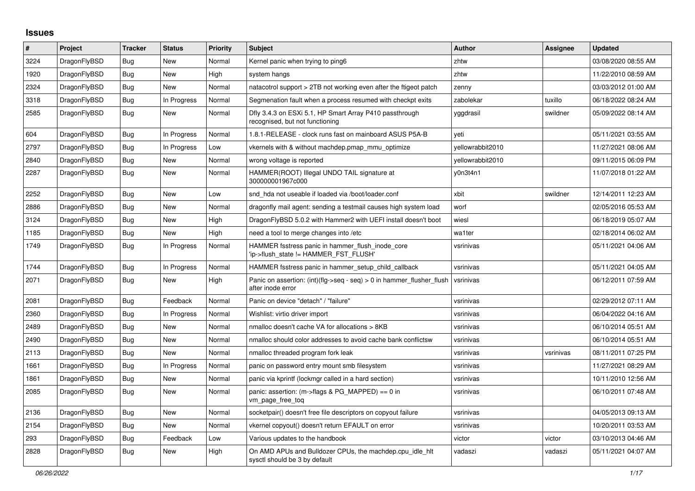## **Issues**

| $\#$ | Project      | <b>Tracker</b> | <b>Status</b> | Priority | <b>Subject</b>                                                                             | <b>Author</b>    | Assignee  | <b>Updated</b>      |
|------|--------------|----------------|---------------|----------|--------------------------------------------------------------------------------------------|------------------|-----------|---------------------|
| 3224 | DragonFlyBSD | <b>Bug</b>     | New           | Normal   | Kernel panic when trying to ping6                                                          | zhtw             |           | 03/08/2020 08:55 AM |
| 1920 | DragonFlyBSD | <b>Bug</b>     | New           | High     | system hangs                                                                               | zhtw             |           | 11/22/2010 08:59 AM |
| 2324 | DragonFlyBSD | Bug            | New           | Normal   | natacotrol support > 2TB not working even after the ftigeot patch                          | zenny            |           | 03/03/2012 01:00 AM |
| 3318 | DragonFlyBSD | Bug            | In Progress   | Normal   | Segmenation fault when a process resumed with checkpt exits                                | zabolekar        | tuxillo   | 06/18/2022 08:24 AM |
| 2585 | DragonFlyBSD | <b>Bug</b>     | <b>New</b>    | Normal   | Dfly 3.4.3 on ESXi 5.1, HP Smart Array P410 passthrough<br>recognised, but not functioning | yggdrasil        | swildner  | 05/09/2022 08:14 AM |
| 604  | DragonFlyBSD | Bug            | In Progress   | Normal   | 1.8.1-RELEASE - clock runs fast on mainboard ASUS P5A-B                                    | yeti             |           | 05/11/2021 03:55 AM |
| 2797 | DragonFlyBSD | Bug            | In Progress   | Low      | vkernels with & without machdep.pmap mmu optimize                                          | yellowrabbit2010 |           | 11/27/2021 08:06 AM |
| 2840 | DragonFlyBSD | <b>Bug</b>     | New           | Normal   | wrong voltage is reported                                                                  | yellowrabbit2010 |           | 09/11/2015 06:09 PM |
| 2287 | DragonFlyBSD | Bug            | <b>New</b>    | Normal   | HAMMER(ROOT) Illegal UNDO TAIL signature at<br>300000001967c000                            | y0n3t4n1         |           | 11/07/2018 01:22 AM |
| 2252 | DragonFlyBSD | Bug            | New           | Low      | snd hda not useable if loaded via /boot/loader.conf                                        | xbit             | swildner  | 12/14/2011 12:23 AM |
| 2886 | DragonFlyBSD | Bug            | New           | Normal   | dragonfly mail agent: sending a testmail causes high system load                           | worf             |           | 02/05/2016 05:53 AM |
| 3124 | DragonFlyBSD | <b>Bug</b>     | New           | High     | DragonFlyBSD 5.0.2 with Hammer2 with UEFI install doesn't boot                             | wiesl            |           | 06/18/2019 05:07 AM |
| 1185 | DragonFlyBSD | Bug            | <b>New</b>    | High     | need a tool to merge changes into /etc                                                     | wa1ter           |           | 02/18/2014 06:02 AM |
| 1749 | DragonFlyBSD | <b>Bug</b>     | In Progress   | Normal   | HAMMER fsstress panic in hammer_flush_inode_core<br>'ip->flush state != HAMMER FST FLUSH'  | vsrinivas        |           | 05/11/2021 04:06 AM |
| 1744 | DragonFlyBSD | Bug            | In Progress   | Normal   | HAMMER fsstress panic in hammer setup child callback                                       | vsrinivas        |           | 05/11/2021 04:05 AM |
| 2071 | DragonFlyBSD | Bug            | <b>New</b>    | High     | Panic on assertion: (int)(flg->seq - seq) > 0 in hammer_flusher_flush<br>after inode error | vsrinivas        |           | 06/12/2011 07:59 AM |
| 2081 | DragonFlyBSD | <b>Bug</b>     | Feedback      | Normal   | Panic on device "detach" / "failure"                                                       | vsrinivas        |           | 02/29/2012 07:11 AM |
| 2360 | DragonFlyBSD | Bug            | In Progress   | Normal   | Wishlist: virtio driver import                                                             | vsrinivas        |           | 06/04/2022 04:16 AM |
| 2489 | DragonFlyBSD | Bug            | New           | Normal   | nmalloc doesn't cache VA for allocations > 8KB                                             | vsrinivas        |           | 06/10/2014 05:51 AM |
| 2490 | DragonFlyBSD | <b>Bug</b>     | New           | Normal   | nmalloc should color addresses to avoid cache bank conflictsw                              | vsrinivas        |           | 06/10/2014 05:51 AM |
| 2113 | DragonFlyBSD | <b>Bug</b>     | New           | Normal   | nmalloc threaded program fork leak                                                         | vsrinivas        | vsrinivas | 08/11/2011 07:25 PM |
| 1661 | DragonFlyBSD | Bug            | In Progress   | Normal   | panic on password entry mount smb filesystem                                               | vsrinivas        |           | 11/27/2021 08:29 AM |
| 1861 | DragonFlyBSD | <b>Bug</b>     | New           | Normal   | panic via kprintf (lockmgr called in a hard section)                                       | vsrinivas        |           | 10/11/2010 12:56 AM |
| 2085 | DragonFlyBSD | Bug            | <b>New</b>    | Normal   | panic: assertion: $(m\rightarrow$ flags & PG MAPPED) == 0 in<br>vm_page_free_toq           | vsrinivas        |           | 06/10/2011 07:48 AM |
| 2136 | DragonFlyBSD | Bug            | <b>New</b>    | Normal   | socketpair() doesn't free file descriptors on copyout failure                              | vsrinivas        |           | 04/05/2013 09:13 AM |
| 2154 | DragonFlyBSD | Bug            | New           | Normal   | vkernel copyout() doesn't return EFAULT on error                                           | vsrinivas        |           | 10/20/2011 03:53 AM |
| 293  | DragonFlyBSD | Bug            | Feedback      | Low      | Various updates to the handbook                                                            | victor           | victor    | 03/10/2013 04:46 AM |
| 2828 | DragonFlyBSD | <b>Bug</b>     | New           | High     | On AMD APUs and Bulldozer CPUs, the machdep.cpu_idle_hlt<br>sysctl should be 3 by default  | vadaszi          | vadaszi   | 05/11/2021 04:07 AM |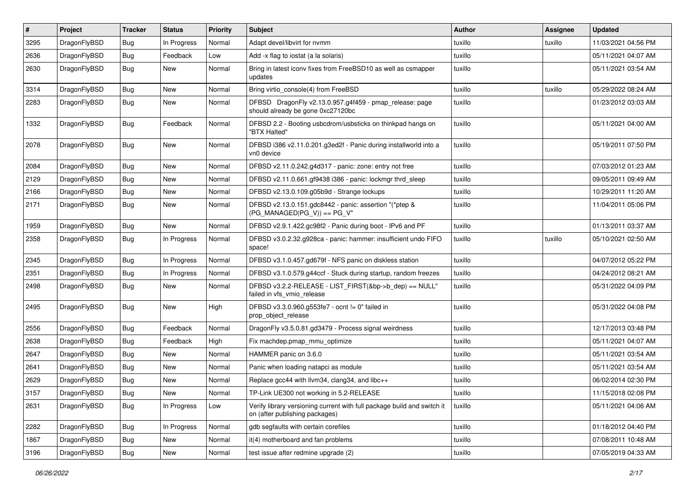| #    | Project      | <b>Tracker</b> | <b>Status</b> | <b>Priority</b> | Subject                                                                                                   | Author  | Assignee | <b>Updated</b>      |
|------|--------------|----------------|---------------|-----------------|-----------------------------------------------------------------------------------------------------------|---------|----------|---------------------|
| 3295 | DragonFlyBSD | Bug            | In Progress   | Normal          | Adapt devel/libvirt for nvmm                                                                              | tuxillo | tuxillo  | 11/03/2021 04:56 PM |
| 2636 | DragonFlyBSD | Bug            | Feedback      | Low             | Add -x flag to iostat (a la solaris)                                                                      | tuxillo |          | 05/11/2021 04:07 AM |
| 2630 | DragonFlyBSD | <b>Bug</b>     | New           | Normal          | Bring in latest iconv fixes from FreeBSD10 as well as csmapper<br>updates                                 | tuxillo |          | 05/11/2021 03:54 AM |
| 3314 | DragonFlyBSD | <b>Bug</b>     | <b>New</b>    | Normal          | Bring virtio_console(4) from FreeBSD                                                                      | tuxillo | tuxillo  | 05/29/2022 08:24 AM |
| 2283 | DragonFlyBSD | <b>Bug</b>     | New           | Normal          | DFBSD DragonFly v2.13.0.957.g4f459 - pmap_release: page<br>should already be gone 0xc27120bc              | tuxillo |          | 01/23/2012 03:03 AM |
| 1332 | DragonFlyBSD | Bug            | Feedback      | Normal          | DFBSD 2.2 - Booting usbcdrom/usbsticks on thinkpad hangs on<br>"BTX Halted"                               | tuxillo |          | 05/11/2021 04:00 AM |
| 2078 | DragonFlyBSD | <b>Bug</b>     | New           | Normal          | DFBSD i386 v2.11.0.201.g3ed2f - Panic during installworld into a<br>vn0 device                            | tuxillo |          | 05/19/2011 07:50 PM |
| 2084 | DragonFlyBSD | <b>Bug</b>     | New           | Normal          | DFBSD v2.11.0.242.g4d317 - panic: zone: entry not free                                                    | tuxillo |          | 07/03/2012 01:23 AM |
| 2129 | DragonFlyBSD | Bug            | New           | Normal          | DFBSD v2.11.0.661.gf9438 i386 - panic: lockmgr thrd_sleep                                                 | tuxillo |          | 09/05/2011 09:49 AM |
| 2166 | DragonFlyBSD | <b>Bug</b>     | New           | Normal          | DFBSD v2.13.0.109.g05b9d - Strange lockups                                                                | tuxillo |          | 10/29/2011 11:20 AM |
| 2171 | DragonFlyBSD | <b>Bug</b>     | <b>New</b>    | Normal          | DFBSD v2.13.0.151.gdc8442 - panic: assertion "(*ptep &<br>$(PG$ MANAGED $ PG_V\rangle$ ) == PG_V"         | tuxillo |          | 11/04/2011 05:06 PM |
| 1959 | DragonFlyBSD | <b>Bug</b>     | <b>New</b>    | Normal          | DFBSD v2.9.1.422.gc98f2 - Panic during boot - IPv6 and PF                                                 | tuxillo |          | 01/13/2011 03:37 AM |
| 2358 | DragonFlyBSD | <b>Bug</b>     | In Progress   | Normal          | DFBSD v3.0.2.32.g928ca - panic: hammer: insufficient undo FIFO<br>space!                                  | tuxillo | tuxillo  | 05/10/2021 02:50 AM |
| 2345 | DragonFlyBSD | <b>Bug</b>     | In Progress   | Normal          | DFBSD v3.1.0.457.gd679f - NFS panic on diskless station                                                   | tuxillo |          | 04/07/2012 05:22 PM |
| 2351 | DragonFlyBSD | <b>Bug</b>     | In Progress   | Normal          | DFBSD v3.1.0.579.g44ccf - Stuck during startup, random freezes                                            | tuxillo |          | 04/24/2012 08:21 AM |
| 2498 | DragonFlyBSD | <b>Bug</b>     | New           | Normal          | DFBSD v3.2.2-RELEASE - LIST_FIRST(&bp->b_dep) == NULL"<br>failed in vfs_vmio_release                      | tuxillo |          | 05/31/2022 04:09 PM |
| 2495 | DragonFlyBSD | <b>Bug</b>     | <b>New</b>    | High            | DFBSD v3.3.0.960.g553fe7 - ocnt != 0" failed in<br>prop object release                                    | tuxillo |          | 05/31/2022 04:08 PM |
| 2556 | DragonFlyBSD | <b>Bug</b>     | Feedback      | Normal          | DragonFly v3.5.0.81.gd3479 - Process signal weirdness                                                     | tuxillo |          | 12/17/2013 03:48 PM |
| 2638 | DragonFlyBSD | <b>Bug</b>     | Feedback      | High            | Fix machdep.pmap mmu optimize                                                                             | tuxillo |          | 05/11/2021 04:07 AM |
| 2647 | DragonFlyBSD | <b>Bug</b>     | New           | Normal          | HAMMER panic on 3.6.0                                                                                     | tuxillo |          | 05/11/2021 03:54 AM |
| 2641 | DragonFlyBSD | Bug            | New           | Normal          | Panic when loading natapci as module                                                                      | tuxillo |          | 05/11/2021 03:54 AM |
| 2629 | DragonFlyBSD | <b>Bug</b>     | New           | Normal          | Replace gcc44 with llvm34, clang34, and libc++                                                            | tuxillo |          | 06/02/2014 02:30 PM |
| 3157 | DragonFlyBSD | <b>Bug</b>     | New           | Normal          | TP-Link UE300 not working in 5.2-RELEASE                                                                  | tuxillo |          | 11/15/2018 02:08 PM |
| 2631 | DragonFlyBSD | Bug            | In Progress   | Low             | Verify library versioning current with full package build and switch it<br>on (after publishing packages) | tuxillo |          | 05/11/2021 04:06 AM |
| 2282 | DragonFlyBSD | <b>Bug</b>     | In Progress   | Normal          | gdb segfaults with certain corefiles                                                                      | tuxillo |          | 01/18/2012 04:40 PM |
| 1867 | DragonFlyBSD | <b>Bug</b>     | <b>New</b>    | Normal          | it(4) motherboard and fan problems                                                                        | tuxillo |          | 07/08/2011 10:48 AM |
| 3196 | DragonFlyBSD | <b>Bug</b>     | New           | Normal          | test issue after redmine upgrade (2)                                                                      | tuxillo |          | 07/05/2019 04:33 AM |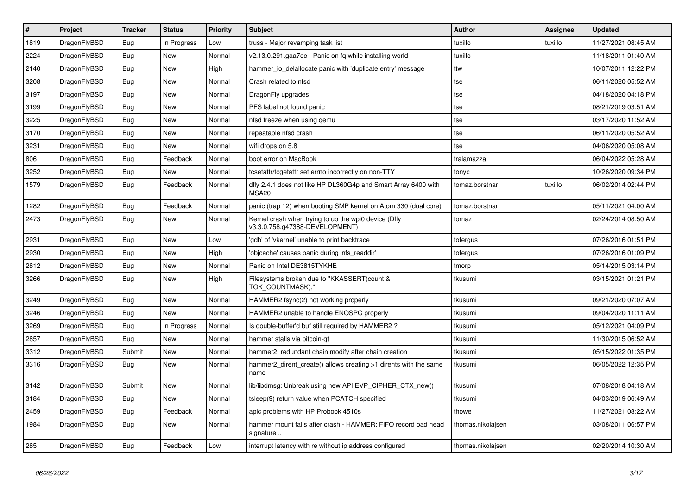| $\vert$ # | <b>Project</b> | <b>Tracker</b> | <b>Status</b> | <b>Priority</b> | <b>Subject</b>                                                                         | <b>Author</b>     | Assignee | <b>Updated</b>      |
|-----------|----------------|----------------|---------------|-----------------|----------------------------------------------------------------------------------------|-------------------|----------|---------------------|
| 1819      | DragonFlyBSD   | <b>Bug</b>     | In Progress   | Low             | truss - Major revamping task list                                                      | tuxillo           | tuxillo  | 11/27/2021 08:45 AM |
| 2224      | DragonFlyBSD   | Bug            | <b>New</b>    | Normal          | v2.13.0.291.gaa7ec - Panic on fq while installing world                                | tuxillo           |          | 11/18/2011 01:40 AM |
| 2140      | DragonFlyBSD   | <b>Bug</b>     | <b>New</b>    | High            | hammer_io_delallocate panic with 'duplicate entry' message                             | ttw               |          | 10/07/2011 12:22 PM |
| 3208      | DragonFlyBSD   | Bug            | <b>New</b>    | Normal          | Crash related to nfsd                                                                  | tse               |          | 06/11/2020 05:52 AM |
| 3197      | DragonFlyBSD   | Bug            | <b>New</b>    | Normal          | DragonFly upgrades                                                                     | tse               |          | 04/18/2020 04:18 PM |
| 3199      | DragonFlyBSD   | <b>Bug</b>     | <b>New</b>    | Normal          | PFS label not found panic                                                              | tse               |          | 08/21/2019 03:51 AM |
| 3225      | DragonFlyBSD   | <b>Bug</b>     | <b>New</b>    | Normal          | nfsd freeze when using gemu                                                            | tse               |          | 03/17/2020 11:52 AM |
| 3170      | DragonFlyBSD   | Bug            | New           | Normal          | repeatable nfsd crash                                                                  | tse               |          | 06/11/2020 05:52 AM |
| 3231      | DragonFlyBSD   | Bug            | <b>New</b>    | Normal          | wifi drops on 5.8                                                                      | tse               |          | 04/06/2020 05:08 AM |
| 806       | DragonFlyBSD   | <b>Bug</b>     | Feedback      | Normal          | boot error on MacBook                                                                  | tralamazza        |          | 06/04/2022 05:28 AM |
| 3252      | DragonFlyBSD   | Bug            | <b>New</b>    | Normal          | tcsetattr/tcgetattr set errno incorrectly on non-TTY                                   | tonyc             |          | 10/26/2020 09:34 PM |
| 1579      | DragonFlyBSD   | <b>Bug</b>     | Feedback      | Normal          | dfly 2.4.1 does not like HP DL360G4p and Smart Array 6400 with<br>MSA <sub>20</sub>    | tomaz.borstnar    | tuxillo  | 06/02/2014 02:44 PM |
| 1282      | DragonFlyBSD   | Bug            | Feedback      | Normal          | panic (trap 12) when booting SMP kernel on Atom 330 (dual core)                        | tomaz.borstnar    |          | 05/11/2021 04:00 AM |
| 2473      | DragonFlyBSD   | <b>Bug</b>     | New           | Normal          | Kernel crash when trying to up the wpi0 device (Dfly<br>v3.3.0.758.g47388-DEVELOPMENT) | tomaz             |          | 02/24/2014 08:50 AM |
| 2931      | DragonFlyBSD   | <b>Bug</b>     | <b>New</b>    | Low             | 'gdb' of 'vkernel' unable to print backtrace                                           | tofergus          |          | 07/26/2016 01:51 PM |
| 2930      | DragonFlyBSD   | <b>Bug</b>     | <b>New</b>    | High            | 'objcache' causes panic during 'nfs_readdir'                                           | tofergus          |          | 07/26/2016 01:09 PM |
| 2812      | DragonFlyBSD   | <b>Bug</b>     | <b>New</b>    | Normal          | Panic on Intel DE3815TYKHE                                                             | tmorp             |          | 05/14/2015 03:14 PM |
| 3266      | DragonFlyBSD   | <b>Bug</b>     | New           | High            | Filesystems broken due to "KKASSERT(count &<br>TOK COUNTMASK);"                        | tkusumi           |          | 03/15/2021 01:21 PM |
| 3249      | DragonFlyBSD   | Bug            | New           | Normal          | HAMMER2 fsync(2) not working properly                                                  | tkusumi           |          | 09/21/2020 07:07 AM |
| 3246      | DragonFlyBSD   | <b>Bug</b>     | New           | Normal          | HAMMER2 unable to handle ENOSPC properly                                               | tkusumi           |          | 09/04/2020 11:11 AM |
| 3269      | DragonFlyBSD   | Bug            | In Progress   | Normal          | Is double-buffer'd buf still required by HAMMER2 ?                                     | tkusumi           |          | 05/12/2021 04:09 PM |
| 2857      | DragonFlyBSD   | Bug            | <b>New</b>    | Normal          | hammer stalls via bitcoin-qt                                                           | tkusumi           |          | 11/30/2015 06:52 AM |
| 3312      | DragonFlyBSD   | Submit         | New           | Normal          | hammer2: redundant chain modify after chain creation                                   | tkusumi           |          | 05/15/2022 01:35 PM |
| 3316      | DragonFlyBSD   | <b>Bug</b>     | New           | Normal          | hammer2_dirent_create() allows creating >1 dirents with the same<br>name               | tkusumi           |          | 06/05/2022 12:35 PM |
| 3142      | DragonFlyBSD   | Submit         | New           | Normal          | lib/libdmsg: Unbreak using new API EVP CIPHER CTX new()                                | tkusumi           |          | 07/08/2018 04:18 AM |
| 3184      | DragonFlyBSD   | Bug            | <b>New</b>    | Normal          | tsleep(9) return value when PCATCH specified                                           | tkusumi           |          | 04/03/2019 06:49 AM |
| 2459      | DragonFlyBSD   | <b>Bug</b>     | Feedback      | Normal          | apic problems with HP Probook 4510s                                                    | thowe             |          | 11/27/2021 08:22 AM |
| 1984      | DragonFlyBSD   | <b>Bug</b>     | <b>New</b>    | Normal          | hammer mount fails after crash - HAMMER: FIFO record bad head<br>signature             | thomas.nikolajsen |          | 03/08/2011 06:57 PM |
| 285       | DragonFlyBSD   | <b>Bug</b>     | Feedback      | Low             | interrupt latency with re without ip address configured                                | thomas.nikolajsen |          | 02/20/2014 10:30 AM |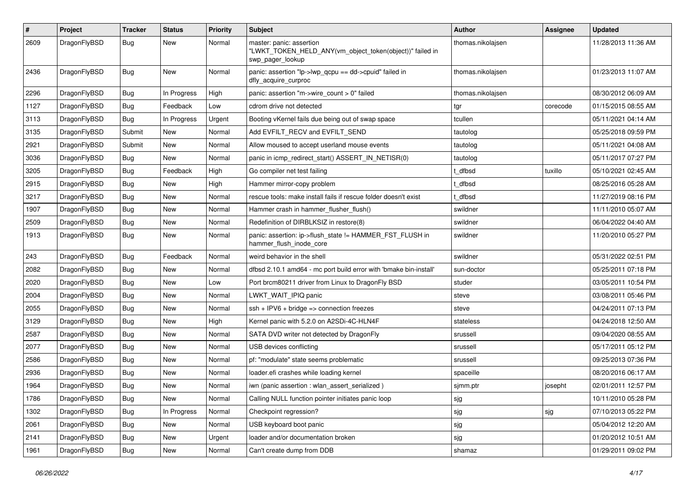| #    | Project      | <b>Tracker</b> | <b>Status</b> | <b>Priority</b> | Subject                                                                                                  | <b>Author</b>     | <b>Assignee</b> | <b>Updated</b>      |
|------|--------------|----------------|---------------|-----------------|----------------------------------------------------------------------------------------------------------|-------------------|-----------------|---------------------|
| 2609 | DragonFlyBSD | Bug            | New           | Normal          | master: panic: assertion<br>"LWKT_TOKEN_HELD_ANY(vm_object_token(object))" failed in<br>swp pager lookup | thomas.nikolajsen |                 | 11/28/2013 11:36 AM |
| 2436 | DragonFlyBSD | <b>Bug</b>     | New           | Normal          | panic: assertion "lp->lwp_qcpu == dd->cpuid" failed in<br>dfly_acquire_curproc                           | thomas.nikolajsen |                 | 01/23/2013 11:07 AM |
| 2296 | DragonFlyBSD | <b>Bug</b>     | In Progress   | High            | panic: assertion "m->wire count > 0" failed                                                              | thomas.nikolajsen |                 | 08/30/2012 06:09 AM |
| 1127 | DragonFlyBSD | <b>Bug</b>     | Feedback      | Low             | cdrom drive not detected                                                                                 | tgr               | corecode        | 01/15/2015 08:55 AM |
| 3113 | DragonFlyBSD | <b>Bug</b>     | In Progress   | Urgent          | Booting vKernel fails due being out of swap space                                                        | tcullen           |                 | 05/11/2021 04:14 AM |
| 3135 | DragonFlyBSD | Submit         | New           | Normal          | Add EVFILT_RECV and EVFILT_SEND                                                                          | tautolog          |                 | 05/25/2018 09:59 PM |
| 2921 | DragonFlyBSD | Submit         | <b>New</b>    | Normal          | Allow moused to accept userland mouse events                                                             | tautolog          |                 | 05/11/2021 04:08 AM |
| 3036 | DragonFlyBSD | <b>Bug</b>     | New           | Normal          | panic in icmp redirect start() ASSERT IN NETISR(0)                                                       | tautolog          |                 | 05/11/2017 07:27 PM |
| 3205 | DragonFlyBSD | <b>Bug</b>     | Feedback      | High            | Go compiler net test failing                                                                             | t dfbsd           | tuxillo         | 05/10/2021 02:45 AM |
| 2915 | DragonFlyBSD | <b>Bug</b>     | <b>New</b>    | High            | Hammer mirror-copy problem                                                                               | : dfbsd           |                 | 08/25/2016 05:28 AM |
| 3217 | DragonFlyBSD | <b>Bug</b>     | New           | Normal          | rescue tools: make install fails if rescue folder doesn't exist                                          | t_dfbsd           |                 | 11/27/2019 08:16 PM |
| 1907 | DragonFlyBSD | <b>Bug</b>     | <b>New</b>    | Normal          | Hammer crash in hammer_flusher_flush()                                                                   | swildner          |                 | 11/11/2010 05:07 AM |
| 2509 | DragonFlyBSD | <b>Bug</b>     | <b>New</b>    | Normal          | Redefinition of DIRBLKSIZ in restore(8)                                                                  | swildner          |                 | 06/04/2022 04:40 AM |
| 1913 | DragonFlyBSD | <b>Bug</b>     | New           | Normal          | panic: assertion: ip->flush_state != HAMMER_FST_FLUSH in<br>hammer_flush_inode_core                      | swildner          |                 | 11/20/2010 05:27 PM |
| 243  | DragonFlyBSD | <b>Bug</b>     | Feedback      | Normal          | weird behavior in the shell                                                                              | swildner          |                 | 05/31/2022 02:51 PM |
| 2082 | DragonFlyBSD | <b>Bug</b>     | New           | Normal          | dfbsd 2.10.1 amd64 - mc port build error with 'bmake bin-install'                                        | sun-doctor        |                 | 05/25/2011 07:18 PM |
| 2020 | DragonFlyBSD | <b>Bug</b>     | <b>New</b>    | Low             | Port brcm80211 driver from Linux to DragonFly BSD                                                        | studer            |                 | 03/05/2011 10:54 PM |
| 2004 | DragonFlyBSD | <b>Bug</b>     | New           | Normal          | LWKT_WAIT_IPIQ panic                                                                                     | steve             |                 | 03/08/2011 05:46 PM |
| 2055 | DragonFlyBSD | <b>Bug</b>     | <b>New</b>    | Normal          | $ssh + IPV6 + bridge \Rightarrow$ connection freezes                                                     | steve             |                 | 04/24/2011 07:13 PM |
| 3129 | DragonFlyBSD | <b>Bug</b>     | <b>New</b>    | High            | Kernel panic with 5.2.0 on A2SDi-4C-HLN4F                                                                | stateless         |                 | 04/24/2018 12:50 AM |
| 2587 | DragonFlyBSD | <b>Bug</b>     | New           | Normal          | SATA DVD writer not detected by DragonFly                                                                | srussell          |                 | 09/04/2020 08:55 AM |
| 2077 | DragonFlyBSD | <b>Bug</b>     | <b>New</b>    | Normal          | USB devices conflicting                                                                                  | srussell          |                 | 05/17/2011 05:12 PM |
| 2586 | DragonFlyBSD | <b>Bug</b>     | New           | Normal          | pf: "modulate" state seems problematic                                                                   | srussell          |                 | 09/25/2013 07:36 PM |
| 2936 | DragonFlyBSD | <b>Bug</b>     | <b>New</b>    | Normal          | loader.efi crashes while loading kernel                                                                  | spaceille         |                 | 08/20/2016 06:17 AM |
| 1964 | DragonFlyBSD | <b>Bug</b>     | <b>New</b>    | Normal          | iwn (panic assertion : wlan assert serialized)                                                           | sjmm.ptr          | josepht         | 02/01/2011 12:57 PM |
| 1786 | DragonFlyBSD | Bug            | New           | Normal          | Calling NULL function pointer initiates panic loop                                                       | sjg               |                 | 10/11/2010 05:28 PM |
| 1302 | DragonFlyBSD | <b>Bug</b>     | In Progress   | Normal          | Checkpoint regression?                                                                                   | sjg               | sjg             | 07/10/2013 05:22 PM |
| 2061 | DragonFlyBSD | <b>Bug</b>     | New           | Normal          | USB keyboard boot panic                                                                                  | sjg               |                 | 05/04/2012 12:20 AM |
| 2141 | DragonFlyBSD | <b>Bug</b>     | New           | Urgent          | loader and/or documentation broken                                                                       | sjg               |                 | 01/20/2012 10:51 AM |
| 1961 | DragonFlyBSD | <b>Bug</b>     | New           | Normal          | Can't create dump from DDB                                                                               | shamaz            |                 | 01/29/2011 09:02 PM |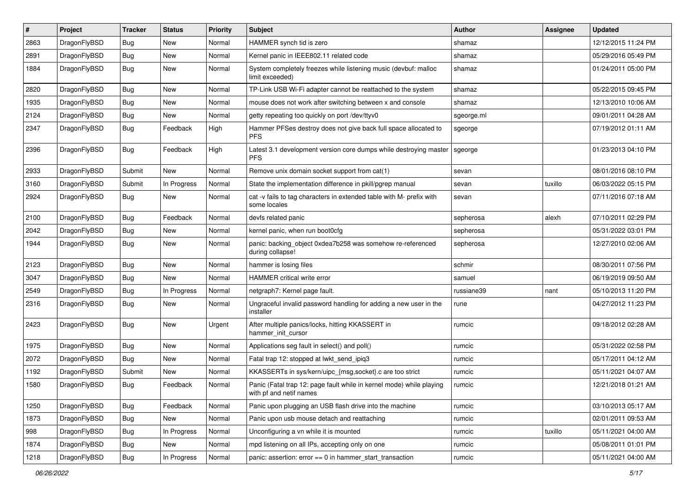| $\sharp$ | Project      | <b>Tracker</b> | <b>Status</b> | <b>Priority</b> | Subject                                                                                         | Author     | Assignee | <b>Updated</b>      |
|----------|--------------|----------------|---------------|-----------------|-------------------------------------------------------------------------------------------------|------------|----------|---------------------|
| 2863     | DragonFlyBSD | <b>Bug</b>     | New           | Normal          | HAMMER synch tid is zero                                                                        | shamaz     |          | 12/12/2015 11:24 PM |
| 2891     | DragonFlyBSD | <b>Bug</b>     | New           | Normal          | Kernel panic in IEEE802.11 related code                                                         | shamaz     |          | 05/29/2016 05:49 PM |
| 1884     | DragonFlyBSD | <b>Bug</b>     | New           | Normal          | System completely freezes while listening music (devbuf: malloc<br>limit exceeded)              | shamaz     |          | 01/24/2011 05:00 PM |
| 2820     | DragonFlyBSD | <b>Bug</b>     | <b>New</b>    | Normal          | TP-Link USB Wi-Fi adapter cannot be reattached to the system                                    | shamaz     |          | 05/22/2015 09:45 PM |
| 1935     | DragonFlyBSD | <b>Bug</b>     | New           | Normal          | mouse does not work after switching between x and console                                       | shamaz     |          | 12/13/2010 10:06 AM |
| 2124     | DragonFlyBSD | Bug            | New           | Normal          | getty repeating too quickly on port /dev/ttyv0                                                  | sgeorge.ml |          | 09/01/2011 04:28 AM |
| 2347     | DragonFlyBSD | Bug            | Feedback      | High            | Hammer PFSes destroy does not give back full space allocated to<br><b>PFS</b>                   | sgeorge    |          | 07/19/2012 01:11 AM |
| 2396     | DragonFlyBSD | Bug            | Feedback      | High            | Latest 3.1 development version core dumps while destroying master<br><b>PFS</b>                 | sgeorge    |          | 01/23/2013 04:10 PM |
| 2933     | DragonFlyBSD | Submit         | New           | Normal          | Remove unix domain socket support from cat(1)                                                   | sevan      |          | 08/01/2016 08:10 PM |
| 3160     | DragonFlyBSD | Submit         | In Progress   | Normal          | State the implementation difference in pkill/pgrep manual                                       | sevan      | tuxillo  | 06/03/2022 05:15 PM |
| 2924     | DragonFlyBSD | <b>Bug</b>     | New           | Normal          | cat -v fails to tag characters in extended table with M- prefix with<br>some locales            | sevan      |          | 07/11/2016 07:18 AM |
| 2100     | DragonFlyBSD | Bug            | Feedback      | Normal          | devfs related panic                                                                             | sepherosa  | alexh    | 07/10/2011 02:29 PM |
| 2042     | DragonFlyBSD | <b>Bug</b>     | <b>New</b>    | Normal          | kernel panic, when run boot0cfg                                                                 | sepherosa  |          | 05/31/2022 03:01 PM |
| 1944     | DragonFlyBSD | <b>Bug</b>     | New           | Normal          | panic: backing object 0xdea7b258 was somehow re-referenced<br>during collapse!                  | sepherosa  |          | 12/27/2010 02:06 AM |
| 2123     | DragonFlyBSD | Bug            | <b>New</b>    | Normal          | hammer is losing files                                                                          | schmir     |          | 08/30/2011 07:56 PM |
| 3047     | DragonFlyBSD | Bug            | New           | Normal          | <b>HAMMER</b> critical write error                                                              | samuel     |          | 06/19/2019 09:50 AM |
| 2549     | DragonFlyBSD | <b>Bug</b>     | In Progress   | Normal          | netgraph7: Kernel page fault.                                                                   | russiane39 | nant     | 05/10/2013 11:20 PM |
| 2316     | DragonFlyBSD | <b>Bug</b>     | New           | Normal          | Ungraceful invalid password handling for adding a new user in the<br>installer                  | rune       |          | 04/27/2012 11:23 PM |
| 2423     | DragonFlyBSD | Bug            | New           | Urgent          | After multiple panics/locks, hitting KKASSERT in<br>hammer init cursor                          | rumcic     |          | 09/18/2012 02:28 AM |
| 1975     | DragonFlyBSD | <b>Bug</b>     | New           | Normal          | Applications seg fault in select() and poll()                                                   | rumcic     |          | 05/31/2022 02:58 PM |
| 2072     | DragonFlyBSD | <b>Bug</b>     | New           | Normal          | Fatal trap 12: stopped at lwkt_send_ipiq3                                                       | rumcic     |          | 05/17/2011 04:12 AM |
| 1192     | DragonFlyBSD | Submit         | New           | Normal          | KKASSERTs in sys/kern/uipc_{msg,socket}.c are too strict                                        | rumcic     |          | 05/11/2021 04:07 AM |
| 1580     | DragonFlyBSD | Bug            | Feedback      | Normal          | Panic (Fatal trap 12: page fault while in kernel mode) while playing<br>with pf and netif names | rumcic     |          | 12/21/2018 01:21 AM |
| 1250     | DragonFlyBSD | <b>Bug</b>     | Feedback      | Normal          | Panic upon plugging an USB flash drive into the machine                                         | rumcic     |          | 03/10/2013 05:17 AM |
| 1873     | DragonFlyBSD | <b>Bug</b>     | New           | Normal          | Panic upon usb mouse detach and reattaching                                                     | rumcic     |          | 02/01/2011 09:53 AM |
| 998      | DragonFlyBSD | Bug            | In Progress   | Normal          | Unconfiguring a vn while it is mounted                                                          | rumcic     | tuxillo  | 05/11/2021 04:00 AM |
| 1874     | DragonFlyBSD | <b>Bug</b>     | New           | Normal          | mpd listening on all IPs, accepting only on one                                                 | rumcic     |          | 05/08/2011 01:01 PM |
| 1218     | DragonFlyBSD | <b>Bug</b>     | In Progress   | Normal          | panic: assertion: error == 0 in hammer_start_transaction                                        | rumcic     |          | 05/11/2021 04:00 AM |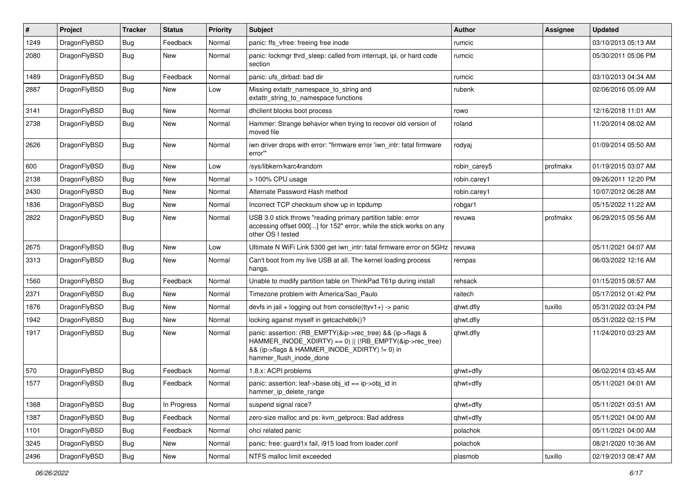| $\pmb{\#}$ | Project      | <b>Tracker</b> | <b>Status</b> | <b>Priority</b> | Subject                                                                                                                                                                                           | <b>Author</b> | Assignee | <b>Updated</b>      |
|------------|--------------|----------------|---------------|-----------------|---------------------------------------------------------------------------------------------------------------------------------------------------------------------------------------------------|---------------|----------|---------------------|
| 1249       | DragonFlyBSD | Bug            | Feedback      | Normal          | panic: ffs vfree: freeing free inode                                                                                                                                                              | rumcic        |          | 03/10/2013 05:13 AM |
| 2080       | DragonFlyBSD | <b>Bug</b>     | New           | Normal          | panic: lockmgr thrd_sleep: called from interrupt, ipi, or hard code<br>section                                                                                                                    | rumcic        |          | 05/30/2011 05:06 PM |
| 1489       | DragonFlyBSD | Bug            | Feedback      | Normal          | panic: ufs dirbad: bad dir                                                                                                                                                                        | rumcic        |          | 03/10/2013 04:34 AM |
| 2887       | DragonFlyBSD | Bug            | New           | Low             | Missing extattr_namespace_to_string and<br>extattr string to namespace functions                                                                                                                  | rubenk        |          | 02/06/2016 05:09 AM |
| 3141       | DragonFlyBSD | Bug            | <b>New</b>    | Normal          | dhclient blocks boot process                                                                                                                                                                      | rowo          |          | 12/16/2018 11:01 AM |
| 2738       | DragonFlyBSD | Bug            | New           | Normal          | Hammer: Strange behavior when trying to recover old version of<br>moved file                                                                                                                      | roland        |          | 11/20/2014 08:02 AM |
| 2626       | DragonFlyBSD | <b>Bug</b>     | New           | Normal          | iwn driver drops with error: "firmware error 'iwn_intr: fatal firmware<br>error"                                                                                                                  | rodyaj        |          | 01/09/2014 05:50 AM |
| 600        | DragonFlyBSD | Bug            | <b>New</b>    | Low             | /sys/libkern/karc4random                                                                                                                                                                          | robin carey5  | profmakx | 01/19/2015 03:07 AM |
| 2138       | DragonFlyBSD | Bug            | <b>New</b>    | Normal          | > 100% CPU usage                                                                                                                                                                                  | robin.carey1  |          | 09/26/2011 12:20 PM |
| 2430       | DragonFlyBSD | Bug            | New           | Normal          | Alternate Password Hash method                                                                                                                                                                    | robin.carey1  |          | 10/07/2012 06:28 AM |
| 1836       | DragonFlyBSD | Bug            | <b>New</b>    | Normal          | Incorrect TCP checksum show up in tcpdump                                                                                                                                                         | robgar1       |          | 05/15/2022 11:22 AM |
| 2822       | DragonFlyBSD | Bug            | New           | Normal          | USB 3.0 stick throws "reading primary partition table: error<br>accessing offset 000[] for 152" error, while the stick works on any<br>other OS I tested                                          | revuwa        | profmakx | 06/29/2015 05:56 AM |
| 2675       | DragonFlyBSD | <b>Bug</b>     | <b>New</b>    | Low             | Ultimate N WiFi Link 5300 get iwn_intr: fatal firmware error on 5GHz                                                                                                                              | revuwa        |          | 05/11/2021 04:07 AM |
| 3313       | DragonFlyBSD | Bug            | New           | Normal          | Can't boot from my live USB at all. The kernel loading process<br>hangs.                                                                                                                          | rempas        |          | 06/03/2022 12:16 AM |
| 1560       | DragonFlyBSD | Bug            | Feedback      | Normal          | Unable to modify partition table on ThinkPad T61p during install                                                                                                                                  | rehsack       |          | 01/15/2015 08:57 AM |
| 2371       | DragonFlyBSD | Bug            | <b>New</b>    | Normal          | Timezone problem with America/Sao Paulo                                                                                                                                                           | raitech       |          | 05/17/2012 01:42 PM |
| 1876       | DragonFlyBSD | Bug            | New           | Normal          | devfs in jail + logging out from console(ttyv1+) -> panic                                                                                                                                         | qhwt.dfly     | tuxillo  | 05/31/2022 03:24 PM |
| 1942       | DragonFlyBSD | Bug            | New           | Normal          | locking against myself in getcacheblk()?                                                                                                                                                          | qhwt.dfly     |          | 05/31/2022 02:15 PM |
| 1917       | DragonFlyBSD | Bug            | New           | Normal          | panic: assertion: (RB_EMPTY(&ip->rec_tree) && (ip->flags &<br>HAMMER_INODE_XDIRTY) == 0)    (!RB_EMPTY(&ip->rec_tree)<br>&& (ip->flags & HAMMER_INODE_XDIRTY) != 0) in<br>hammer_flush_inode_done | qhwt.dfly     |          | 11/24/2010 03:23 AM |
| 570        | DragonFlyBSD | <b>Bug</b>     | Feedback      | Normal          | 1.8.x: ACPI problems                                                                                                                                                                              | qhwt+dfly     |          | 06/02/2014 03:45 AM |
| 1577       | DragonFlyBSD | Bug            | Feedback      | Normal          | panic: assertion: leaf->base.obj id == ip->obj id in<br>hammer_ip_delete_range                                                                                                                    | qhwt+dfly     |          | 05/11/2021 04:01 AM |
| 1368       | DragonFlyBSD | Bug            | In Progress   | Normal          | suspend signal race?                                                                                                                                                                              | qhwt+dfly     |          | 05/11/2021 03:51 AM |
| 1387       | DragonFlyBSD | <b>Bug</b>     | Feedback      | Normal          | zero-size malloc and ps: kvm getprocs: Bad address                                                                                                                                                | qhwt+dfly     |          | 05/11/2021 04:00 AM |
| 1101       | DragonFlyBSD | <b>Bug</b>     | Feedback      | Normal          | ohci related panic                                                                                                                                                                                | polachok      |          | 05/11/2021 04:00 AM |
| 3245       | DragonFlyBSD | <b>Bug</b>     | New           | Normal          | panic: free: guard1x fail, i915 load from loader.conf                                                                                                                                             | polachok      |          | 08/21/2020 10:36 AM |
| 2496       | DragonFlyBSD | <b>Bug</b>     | New           | Normal          | NTFS malloc limit exceeded                                                                                                                                                                        | plasmob       | tuxillo  | 02/19/2013 08:47 AM |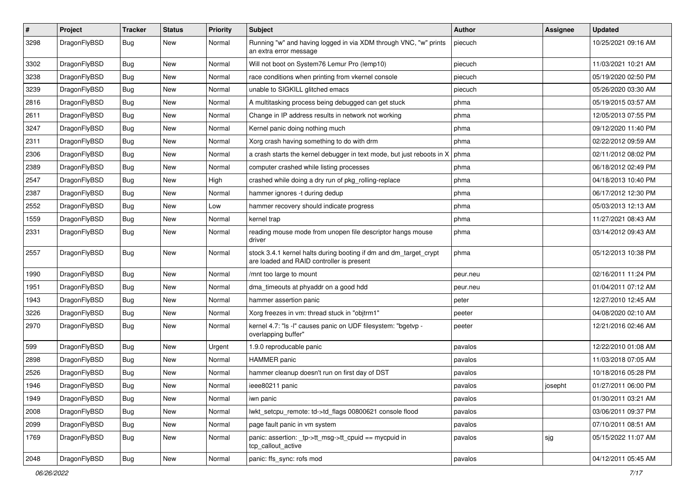| $\sharp$ | Project      | <b>Tracker</b> | <b>Status</b> | <b>Priority</b> | Subject                                                                                                        | <b>Author</b> | Assignee | <b>Updated</b>      |
|----------|--------------|----------------|---------------|-----------------|----------------------------------------------------------------------------------------------------------------|---------------|----------|---------------------|
| 3298     | DragonFlyBSD | Bug            | <b>New</b>    | Normal          | Running "w" and having logged in via XDM through VNC, "w" prints<br>an extra error message                     | piecuch       |          | 10/25/2021 09:16 AM |
| 3302     | DragonFlyBSD | Bug            | <b>New</b>    | Normal          | Will not boot on System76 Lemur Pro (lemp10)                                                                   | piecuch       |          | 11/03/2021 10:21 AM |
| 3238     | DragonFlyBSD | <b>Bug</b>     | New           | Normal          | race conditions when printing from vkernel console                                                             | piecuch       |          | 05/19/2020 02:50 PM |
| 3239     | DragonFlyBSD | <b>Bug</b>     | <b>New</b>    | Normal          | unable to SIGKILL glitched emacs                                                                               | piecuch       |          | 05/26/2020 03:30 AM |
| 2816     | DragonFlyBSD | <b>Bug</b>     | <b>New</b>    | Normal          | A multitasking process being debugged can get stuck                                                            | phma          |          | 05/19/2015 03:57 AM |
| 2611     | DragonFlyBSD | <b>Bug</b>     | <b>New</b>    | Normal          | Change in IP address results in network not working                                                            | phma          |          | 12/05/2013 07:55 PM |
| 3247     | DragonFlyBSD | <b>Bug</b>     | <b>New</b>    | Normal          | Kernel panic doing nothing much                                                                                | phma          |          | 09/12/2020 11:40 PM |
| 2311     | DragonFlyBSD | <b>Bug</b>     | New           | Normal          | Xorg crash having something to do with drm                                                                     | phma          |          | 02/22/2012 09:59 AM |
| 2306     | DragonFlyBSD | <b>Bug</b>     | <b>New</b>    | Normal          | a crash starts the kernel debugger in text mode, but just reboots in X                                         | phma          |          | 02/11/2012 08:02 PM |
| 2389     | DragonFlyBSD | <b>Bug</b>     | New           | Normal          | computer crashed while listing processes                                                                       | phma          |          | 06/18/2012 02:49 PM |
| 2547     | DragonFlyBSD | <b>Bug</b>     | <b>New</b>    | High            | crashed while doing a dry run of pkg_rolling-replace                                                           | phma          |          | 04/18/2013 10:40 PM |
| 2387     | DragonFlyBSD | <b>Bug</b>     | New           | Normal          | hammer ignores -t during dedup                                                                                 | phma          |          | 06/17/2012 12:30 PM |
| 2552     | DragonFlyBSD | <b>Bug</b>     | New           | Low             | hammer recovery should indicate progress                                                                       | phma          |          | 05/03/2013 12:13 AM |
| 1559     | DragonFlyBSD | <b>Bug</b>     | New           | Normal          | kernel trap                                                                                                    | phma          |          | 11/27/2021 08:43 AM |
| 2331     | DragonFlyBSD | <b>Bug</b>     | New           | Normal          | reading mouse mode from unopen file descriptor hangs mouse<br>driver                                           | phma          |          | 03/14/2012 09:43 AM |
| 2557     | DragonFlyBSD | <b>Bug</b>     | <b>New</b>    | Normal          | stock 3.4.1 kernel halts during booting if dm and dm_target_crypt<br>are loaded and RAID controller is present | phma          |          | 05/12/2013 10:38 PM |
| 1990     | DragonFlyBSD | <b>Bug</b>     | New           | Normal          | /mnt too large to mount                                                                                        | peur.neu      |          | 02/16/2011 11:24 PM |
| 1951     | DragonFlyBSD | <b>Bug</b>     | New           | Normal          | dma_timeouts at phyaddr on a good hdd                                                                          | peur.neu      |          | 01/04/2011 07:12 AM |
| 1943     | DragonFlyBSD | <b>Bug</b>     | <b>New</b>    | Normal          | hammer assertion panic                                                                                         | peter         |          | 12/27/2010 12:45 AM |
| 3226     | DragonFlyBSD | <b>Bug</b>     | <b>New</b>    | Normal          | Xorg freezes in vm: thread stuck in "objtrm1"                                                                  | peeter        |          | 04/08/2020 02:10 AM |
| 2970     | DragonFlyBSD | <b>Bug</b>     | <b>New</b>    | Normal          | kernel 4.7: "Is -I" causes panic on UDF filesystem: "bgetvp -<br>overlapping buffer"                           | peeter        |          | 12/21/2016 02:46 AM |
| 599      | DragonFlyBSD | <b>Bug</b>     | <b>New</b>    | Urgent          | 1.9.0 reproducable panic                                                                                       | pavalos       |          | 12/22/2010 01:08 AM |
| 2898     | DragonFlyBSD | <b>Bug</b>     | <b>New</b>    | Normal          | HAMMER panic                                                                                                   | pavalos       |          | 11/03/2018 07:05 AM |
| 2526     | DragonFlyBSD | <b>Bug</b>     | <b>New</b>    | Normal          | hammer cleanup doesn't run on first day of DST                                                                 | pavalos       |          | 10/18/2016 05:28 PM |
| 1946     | DragonFlyBSD | <b>Bug</b>     | <b>New</b>    | Normal          | ieee80211 panic                                                                                                | pavalos       | josepht  | 01/27/2011 06:00 PM |
| 1949     | DragonFlyBSD | <b>Bug</b>     | New           | Normal          | iwn panic                                                                                                      | pavalos       |          | 01/30/2011 03:21 AM |
| 2008     | DragonFlyBSD | <b>Bug</b>     | New           | Normal          | lwkt_setcpu_remote: td->td_flags 00800621 console flood                                                        | pavalos       |          | 03/06/2011 09:37 PM |
| 2099     | DragonFlyBSD | <b>Bug</b>     | New           | Normal          | page fault panic in vm system                                                                                  | pavalos       |          | 07/10/2011 08:51 AM |
| 1769     | DragonFlyBSD | <b>Bug</b>     | New           | Normal          | panic: assertion: _tp->tt_msg->tt_cpuid == mycpuid in<br>tcp_callout_active                                    | pavalos       | sjg      | 05/15/2022 11:07 AM |
| 2048     | DragonFlyBSD | Bug            | New           | Normal          | panic: ffs_sync: rofs mod                                                                                      | pavalos       |          | 04/12/2011 05:45 AM |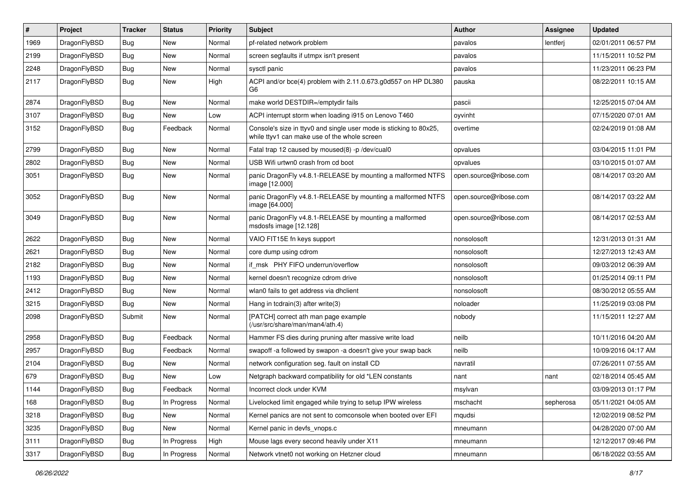| $\pmb{\#}$ | Project      | <b>Tracker</b> | <b>Status</b> | <b>Priority</b> | Subject                                                                                                            | Author                 | <b>Assignee</b> | <b>Updated</b>      |
|------------|--------------|----------------|---------------|-----------------|--------------------------------------------------------------------------------------------------------------------|------------------------|-----------------|---------------------|
| 1969       | DragonFlyBSD | Bug            | <b>New</b>    | Normal          | pf-related network problem                                                                                         | pavalos                | lentferj        | 02/01/2011 06:57 PM |
| 2199       | DragonFlyBSD | Bug            | New           | Normal          | screen segfaults if utmpx isn't present                                                                            | pavalos                |                 | 11/15/2011 10:52 PM |
| 2248       | DragonFlyBSD | <b>Bug</b>     | New           | Normal          | sysctl panic                                                                                                       | pavalos                |                 | 11/23/2011 06:23 PM |
| 2117       | DragonFlyBSD | Bug            | <b>New</b>    | High            | ACPI and/or bce(4) problem with 2.11.0.673.g0d557 on HP DL380<br>G6                                                | pauska                 |                 | 08/22/2011 10:15 AM |
| 2874       | DragonFlyBSD | <b>Bug</b>     | <b>New</b>    | Normal          | make world DESTDIR=/emptydir fails                                                                                 | pascii                 |                 | 12/25/2015 07:04 AM |
| 3107       | DragonFlyBSD | Bug            | New           | Low             | ACPI interrupt storm when loading i915 on Lenovo T460                                                              | oyvinht                |                 | 07/15/2020 07:01 AM |
| 3152       | DragonFlyBSD | Bug            | Feedback      | Normal          | Console's size in ttyv0 and single user mode is sticking to 80x25,<br>while ttyv1 can make use of the whole screen | overtime               |                 | 02/24/2019 01:08 AM |
| 2799       | DragonFlyBSD | <b>Bug</b>     | New           | Normal          | Fatal trap 12 caused by moused(8) -p /dev/cual0                                                                    | opvalues               |                 | 03/04/2015 11:01 PM |
| 2802       | DragonFlyBSD | Bug            | <b>New</b>    | Normal          | USB Wifi urtwn0 crash from cd boot                                                                                 | opvalues               |                 | 03/10/2015 01:07 AM |
| 3051       | DragonFlyBSD | Bug            | <b>New</b>    | Normal          | panic DragonFly v4.8.1-RELEASE by mounting a malformed NTFS<br>image [12.000]                                      | open.source@ribose.com |                 | 08/14/2017 03:20 AM |
| 3052       | DragonFlyBSD | <b>Bug</b>     | New           | Normal          | panic DragonFly v4.8.1-RELEASE by mounting a malformed NTFS<br>image [64.000]                                      | open.source@ribose.com |                 | 08/14/2017 03:22 AM |
| 3049       | DragonFlyBSD | <b>Bug</b>     | New           | Normal          | panic DragonFly v4.8.1-RELEASE by mounting a malformed<br>msdosfs image [12.128]                                   | open.source@ribose.com |                 | 08/14/2017 02:53 AM |
| 2622       | DragonFlyBSD | <b>Bug</b>     | <b>New</b>    | Normal          | VAIO FIT15E fn keys support                                                                                        | nonsolosoft            |                 | 12/31/2013 01:31 AM |
| 2621       | DragonFlyBSD | <b>Bug</b>     | <b>New</b>    | Normal          | core dump using cdrom                                                                                              | nonsolosoft            |                 | 12/27/2013 12:43 AM |
| 2182       | DragonFlyBSD | Bug            | <b>New</b>    | Normal          | if msk PHY FIFO underrun/overflow                                                                                  | nonsolosoft            |                 | 09/03/2012 06:39 AM |
| 1193       | DragonFlyBSD | <b>Bug</b>     | <b>New</b>    | Normal          | kernel doesn't recognize cdrom drive                                                                               | nonsolosoft            |                 | 01/25/2014 09:11 PM |
| 2412       | DragonFlyBSD | <b>Bug</b>     | <b>New</b>    | Normal          | wlan0 fails to get address via dhclient                                                                            | nonsolosoft            |                 | 08/30/2012 05:55 AM |
| 3215       | DragonFlyBSD | Bug            | New           | Normal          | Hang in tcdrain(3) after write(3)                                                                                  | noloader               |                 | 11/25/2019 03:08 PM |
| 2098       | DragonFlyBSD | Submit         | New           | Normal          | [PATCH] correct ath man page example<br>(/usr/src/share/man/man4/ath.4)                                            | nobody                 |                 | 11/15/2011 12:27 AM |
| 2958       | DragonFlyBSD | <b>Bug</b>     | Feedback      | Normal          | Hammer FS dies during pruning after massive write load                                                             | neilb                  |                 | 10/11/2016 04:20 AM |
| 2957       | DragonFlyBSD | <b>Bug</b>     | Feedback      | Normal          | swapoff -a followed by swapon -a doesn't give your swap back                                                       | neilb                  |                 | 10/09/2016 04:17 AM |
| 2104       | DragonFlyBSD | Bug            | <b>New</b>    | Normal          | network configuration seg. fault on install CD                                                                     | navratil               |                 | 07/26/2011 07:55 AM |
| 679        | DragonFlyBSD | <b>Bug</b>     | <b>New</b>    | Low             | Netgraph backward compatibility for old *LEN constants                                                             | nant                   | nant            | 02/18/2014 05:45 AM |
| 1144       | DragonFlyBSD | Bug            | Feedback      | Normal          | Incorrect clock under KVM                                                                                          | msylvan                |                 | 03/09/2013 01:17 PM |
| 168        | DragonFlyBSD | <b>Bug</b>     | In Progress   | Normal          | Livelocked limit engaged while trying to setup IPW wireless                                                        | mschacht               | sepherosa       | 05/11/2021 04:05 AM |
| 3218       | DragonFlyBSD | <b>Bug</b>     | New           | Normal          | Kernel panics are not sent to comconsole when booted over EFI                                                      | mqudsi                 |                 | 12/02/2019 08:52 PM |
| 3235       | DragonFlyBSD | <b>Bug</b>     | New           | Normal          | Kernel panic in devfs_vnops.c                                                                                      | mneumann               |                 | 04/28/2020 07:00 AM |
| 3111       | DragonFlyBSD | <b>Bug</b>     | In Progress   | High            | Mouse lags every second heavily under X11                                                                          | mneumann               |                 | 12/12/2017 09:46 PM |
| 3317       | DragonFlyBSD | <b>Bug</b>     | In Progress   | Normal          | Network vtnet0 not working on Hetzner cloud                                                                        | mneumann               |                 | 06/18/2022 03:55 AM |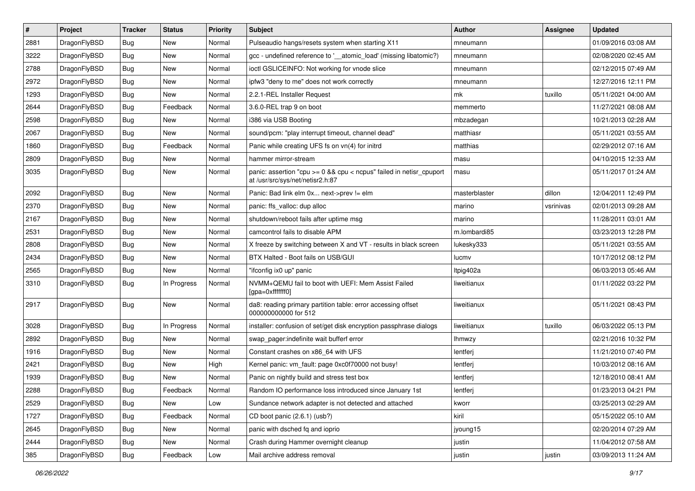| $\sharp$ | Project      | <b>Tracker</b> | <b>Status</b> | <b>Priority</b> | <b>Subject</b>                                                                                          | <b>Author</b> | <b>Assignee</b> | <b>Updated</b>      |
|----------|--------------|----------------|---------------|-----------------|---------------------------------------------------------------------------------------------------------|---------------|-----------------|---------------------|
| 2881     | DragonFlyBSD | Bug            | New           | Normal          | Pulseaudio hangs/resets system when starting X11                                                        | mneumann      |                 | 01/09/2016 03:08 AM |
| 3222     | DragonFlyBSD | Bug            | <b>New</b>    | Normal          | gcc - undefined reference to '__atomic_load' (missing libatomic?)                                       | mneumann      |                 | 02/08/2020 02:45 AM |
| 2788     | DragonFlyBSD | Bug            | <b>New</b>    | Normal          | ioctl GSLICEINFO: Not working for vnode slice                                                           | mneumann      |                 | 02/12/2015 07:49 AM |
| 2972     | DragonFlyBSD | Bug            | New           | Normal          | ipfw3 "deny to me" does not work correctly                                                              | mneumann      |                 | 12/27/2016 12:11 PM |
| 1293     | DragonFlyBSD | Bug            | <b>New</b>    | Normal          | 2.2.1-REL Installer Request                                                                             | mk            | tuxillo         | 05/11/2021 04:00 AM |
| 2644     | DragonFlyBSD | Bug            | Feedback      | Normal          | 3.6.0-REL trap 9 on boot                                                                                | memmerto      |                 | 11/27/2021 08:08 AM |
| 2598     | DragonFlyBSD | Bug            | New           | Normal          | i386 via USB Booting                                                                                    | mbzadegan     |                 | 10/21/2013 02:28 AM |
| 2067     | DragonFlyBSD | Bug            | New           | Normal          | sound/pcm: "play interrupt timeout, channel dead"                                                       | matthiasr     |                 | 05/11/2021 03:55 AM |
| 1860     | DragonFlyBSD | Bug            | Feedback      | Normal          | Panic while creating UFS fs on vn(4) for initrd                                                         | matthias      |                 | 02/29/2012 07:16 AM |
| 2809     | DragonFlyBSD | Bug            | New           | Normal          | hammer mirror-stream                                                                                    | masu          |                 | 04/10/2015 12:33 AM |
| 3035     | DragonFlyBSD | Bug            | New           | Normal          | panic: assertion "cpu >= 0 && cpu < ncpus" failed in netisr_cpuport<br>at /usr/src/sys/net/netisr2.h:87 | masu          |                 | 05/11/2017 01:24 AM |
| 2092     | DragonFlyBSD | Bug            | <b>New</b>    | Normal          | Panic: Bad link elm 0x next->prev != elm                                                                | masterblaster | dillon          | 12/04/2011 12:49 PM |
| 2370     | DragonFlyBSD | <b>Bug</b>     | <b>New</b>    | Normal          | panic: ffs_valloc: dup alloc                                                                            | marino        | vsrinivas       | 02/01/2013 09:28 AM |
| 2167     | DragonFlyBSD | Bug            | New           | Normal          | shutdown/reboot fails after uptime msg                                                                  | marino        |                 | 11/28/2011 03:01 AM |
| 2531     | DragonFlyBSD | Bug            | <b>New</b>    | Normal          | camcontrol fails to disable APM                                                                         | m.lombardi85  |                 | 03/23/2013 12:28 PM |
| 2808     | DragonFlyBSD | Bug            | New           | Normal          | X freeze by switching between X and VT - results in black screen                                        | lukesky333    |                 | 05/11/2021 03:55 AM |
| 2434     | DragonFlyBSD | Bug            | New           | Normal          | BTX Halted - Boot fails on USB/GUI                                                                      | lucmv         |                 | 10/17/2012 08:12 PM |
| 2565     | DragonFlyBSD | Bug            | New           | Normal          | "ifconfig ix0 up" panic                                                                                 | Itpig402a     |                 | 06/03/2013 05:46 AM |
| 3310     | DragonFlyBSD | Bug            | In Progress   | Normal          | NVMM+QEMU fail to boot with UEFI: Mem Assist Failed<br>[gpa=0xfffffff0]                                 | liweitianux   |                 | 01/11/2022 03:22 PM |
| 2917     | DragonFlyBSD | Bug            | <b>New</b>    | Normal          | da8: reading primary partition table: error accessing offset<br>000000000000 for 512                    | liweitianux   |                 | 05/11/2021 08:43 PM |
| 3028     | DragonFlyBSD | Bug            | In Progress   | Normal          | installer: confusion of set/get disk encryption passphrase dialogs                                      | liweitianux   | tuxillo         | 06/03/2022 05:13 PM |
| 2892     | DragonFlyBSD | Bug            | <b>New</b>    | Normal          | swap_pager:indefinite wait bufferf error                                                                | <b>Ihmwzy</b> |                 | 02/21/2016 10:32 PM |
| 1916     | DragonFlyBSD | Bug            | <b>New</b>    | Normal          | Constant crashes on x86_64 with UFS                                                                     | lentferj      |                 | 11/21/2010 07:40 PM |
| 2421     | DragonFlyBSD | Bug            | New           | High            | Kernel panic: vm_fault: page 0xc0f70000 not busy!                                                       | lentferj      |                 | 10/03/2012 08:16 AM |
| 1939     | DragonFlyBSD | Bug            | New           | Normal          | Panic on nightly build and stress test box                                                              | lentferj      |                 | 12/18/2010 08:41 AM |
| 2288     | DragonFlyBSD | Bug            | Feedback      | Normal          | Random IO performance loss introduced since January 1st                                                 | lentferj      |                 | 01/23/2013 04:21 PM |
| 2529     | DragonFlyBSD | Bug            | New           | Low             | Sundance network adapter is not detected and attached                                                   | kworr         |                 | 03/25/2013 02:29 AM |
| 1727     | DragonFlyBSD | Bug            | Feedback      | Normal          | CD boot panic (2.6.1) (usb?)                                                                            | kiril         |                 | 05/15/2022 05:10 AM |
| 2645     | DragonFlyBSD | <b>Bug</b>     | New           | Normal          | panic with dsched fq and ioprio                                                                         | jyoung15      |                 | 02/20/2014 07:29 AM |
| 2444     | DragonFlyBSD | Bug            | New           | Normal          | Crash during Hammer overnight cleanup                                                                   | justin        |                 | 11/04/2012 07:58 AM |
| 385      | DragonFlyBSD | <b>Bug</b>     | Feedback      | Low             | Mail archive address removal                                                                            | justin        | justin          | 03/09/2013 11:24 AM |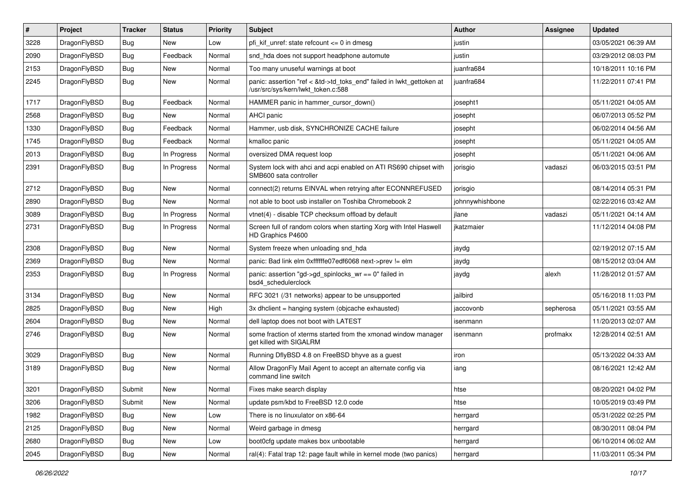| #    | Project      | <b>Tracker</b> | <b>Status</b> | <b>Priority</b> | Subject                                                                                                    | Author          | Assignee  | <b>Updated</b>      |
|------|--------------|----------------|---------------|-----------------|------------------------------------------------------------------------------------------------------------|-----------------|-----------|---------------------|
| 3228 | DragonFlyBSD | Bug            | New           | Low             | pfi kif unref: state refcount $\leq$ 0 in dmesg                                                            | justin          |           | 03/05/2021 06:39 AM |
| 2090 | DragonFlyBSD | <b>Bug</b>     | Feedback      | Normal          | snd_hda does not support headphone automute                                                                | justin          |           | 03/29/2012 08:03 PM |
| 2153 | DragonFlyBSD | <b>Bug</b>     | New           | Normal          | Too many unuseful warnings at boot                                                                         | juanfra684      |           | 10/18/2011 10:16 PM |
| 2245 | DragonFlyBSD | Bug            | New           | Normal          | panic: assertion "ref < &td->td_toks_end" failed in lwkt_gettoken at<br>/usr/src/sys/kern/lwkt_token.c:588 | juanfra684      |           | 11/22/2011 07:41 PM |
| 1717 | DragonFlyBSD | <b>Bug</b>     | Feedback      | Normal          | HAMMER panic in hammer cursor down()                                                                       | josepht1        |           | 05/11/2021 04:05 AM |
| 2568 | DragonFlyBSD | <b>Bug</b>     | New           | Normal          | AHCI panic                                                                                                 | josepht         |           | 06/07/2013 05:52 PM |
| 1330 | DragonFlyBSD | <b>Bug</b>     | Feedback      | Normal          | Hammer, usb disk, SYNCHRONIZE CACHE failure                                                                | josepht         |           | 06/02/2014 04:56 AM |
| 1745 | DragonFlyBSD | Bug            | Feedback      | Normal          | kmalloc panic                                                                                              | josepht         |           | 05/11/2021 04:05 AM |
| 2013 | DragonFlyBSD | Bug            | In Progress   | Normal          | oversized DMA request loop                                                                                 | josepht         |           | 05/11/2021 04:06 AM |
| 2391 | DragonFlyBSD | Bug            | In Progress   | Normal          | System lock with ahci and acpi enabled on ATI RS690 chipset with<br>SMB600 sata controller                 | jorisgio        | vadaszi   | 06/03/2015 03:51 PM |
| 2712 | DragonFlyBSD | <b>Bug</b>     | New           | Normal          | connect(2) returns EINVAL when retrying after ECONNREFUSED                                                 | jorisgio        |           | 08/14/2014 05:31 PM |
| 2890 | DragonFlyBSD | Bug            | New           | Normal          | not able to boot usb installer on Toshiba Chromebook 2                                                     | johnnywhishbone |           | 02/22/2016 03:42 AM |
| 3089 | DragonFlyBSD | <b>Bug</b>     | In Progress   | Normal          | vtnet(4) - disable TCP checksum offload by default                                                         | jlane           | vadaszi   | 05/11/2021 04:14 AM |
| 2731 | DragonFlyBSD | <b>Bug</b>     | In Progress   | Normal          | Screen full of random colors when starting Xorg with Intel Haswell<br>HD Graphics P4600                    | ikatzmaier      |           | 11/12/2014 04:08 PM |
| 2308 | DragonFlyBSD | <b>Bug</b>     | <b>New</b>    | Normal          | System freeze when unloading snd_hda                                                                       | jaydg           |           | 02/19/2012 07:15 AM |
| 2369 | DragonFlyBSD | <b>Bug</b>     | New           | Normal          | panic: Bad link elm 0xffffffe07edf6068 next->prev != elm                                                   | jaydg           |           | 08/15/2012 03:04 AM |
| 2353 | DragonFlyBSD | Bug            | In Progress   | Normal          | panic: assertion "gd->gd_spinlocks_wr == 0" failed in<br>bsd4_schedulerclock                               | jaydg           | alexh     | 11/28/2012 01:57 AM |
| 3134 | DragonFlyBSD | Bug            | New           | Normal          | RFC 3021 (/31 networks) appear to be unsupported                                                           | jailbird        |           | 05/16/2018 11:03 PM |
| 2825 | DragonFlyBSD | <b>Bug</b>     | <b>New</b>    | High            | 3x dhclient = hanging system (objcache exhausted)                                                          | jaccovonb       | sepherosa | 05/11/2021 03:55 AM |
| 2604 | DragonFlyBSD | <b>Bug</b>     | <b>New</b>    | Normal          | dell laptop does not boot with LATEST                                                                      | isenmann        |           | 11/20/2013 02:07 AM |
| 2746 | DragonFlyBSD | Bug            | New           | Normal          | some fraction of xterms started from the xmonad window manager<br>get killed with SIGALRM                  | isenmann        | profmakx  | 12/28/2014 02:51 AM |
| 3029 | DragonFlyBSD | <b>Bug</b>     | <b>New</b>    | Normal          | Running DflyBSD 4.8 on FreeBSD bhyve as a guest                                                            | iron            |           | 05/13/2022 04:33 AM |
| 3189 | DragonFlyBSD | Bug            | New           | Normal          | Allow DragonFly Mail Agent to accept an alternate config via<br>command line switch                        | iang            |           | 08/16/2021 12:42 AM |
| 3201 | DragonFlyBSD | Submit         | New           | Normal          | Fixes make search display                                                                                  | htse            |           | 08/20/2021 04:02 PM |
| 3206 | DragonFlyBSD | Submit         | New           | Normal          | update psm/kbd to FreeBSD 12.0 code                                                                        | htse            |           | 10/05/2019 03:49 PM |
| 1982 | DragonFlyBSD | <b>Bug</b>     | New           | Low             | There is no linuxulator on x86-64                                                                          | herrgard        |           | 05/31/2022 02:25 PM |
| 2125 | DragonFlyBSD | <b>Bug</b>     | New           | Normal          | Weird garbage in dmesg                                                                                     | herrgard        |           | 08/30/2011 08:04 PM |
| 2680 | DragonFlyBSD | <b>Bug</b>     | New           | Low             | boot0cfg update makes box unbootable                                                                       | herrgard        |           | 06/10/2014 06:02 AM |
| 2045 | DragonFlyBSD | <b>Bug</b>     | New           | Normal          | ral(4): Fatal trap 12: page fault while in kernel mode (two panics)                                        | herrgard        |           | 11/03/2011 05:34 PM |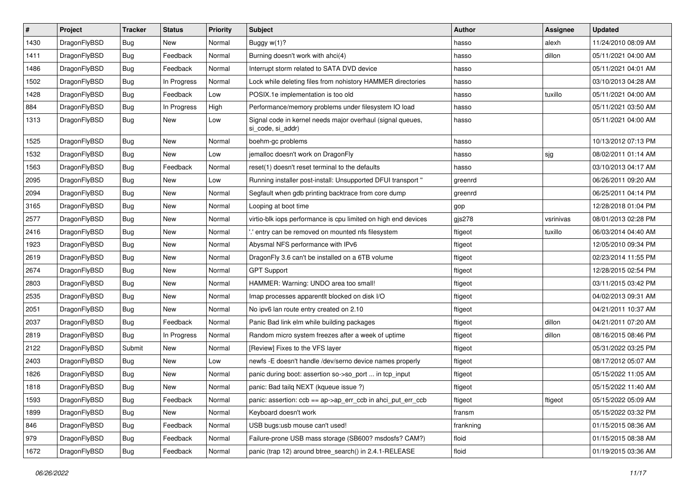| $\vert$ # | Project      | <b>Tracker</b> | <b>Status</b> | <b>Priority</b> | <b>Subject</b>                                                                  | <b>Author</b> | <b>Assignee</b> | <b>Updated</b>      |
|-----------|--------------|----------------|---------------|-----------------|---------------------------------------------------------------------------------|---------------|-----------------|---------------------|
| 1430      | DragonFlyBSD | <b>Bug</b>     | New           | Normal          | Buggy w(1)?                                                                     | hasso         | alexh           | 11/24/2010 08:09 AM |
| 1411      | DragonFlyBSD | <b>Bug</b>     | Feedback      | Normal          | Burning doesn't work with ahci(4)                                               | hasso         | dillon          | 05/11/2021 04:00 AM |
| 1486      | DragonFlyBSD | <b>Bug</b>     | Feedback      | Normal          | Interrupt storm related to SATA DVD device                                      | hasso         |                 | 05/11/2021 04:01 AM |
| 1502      | DragonFlyBSD | <b>Bug</b>     | In Progress   | Normal          | Lock while deleting files from nohistory HAMMER directories                     | hasso         |                 | 03/10/2013 04:28 AM |
| 1428      | DragonFlyBSD | <b>Bug</b>     | Feedback      | Low             | POSIX.1e implementation is too old                                              | hasso         | tuxillo         | 05/11/2021 04:00 AM |
| 884       | DragonFlyBSD | <b>Bug</b>     | In Progress   | High            | Performance/memory problems under filesystem IO load                            | hasso         |                 | 05/11/2021 03:50 AM |
| 1313      | DragonFlyBSD | Bug            | New           | Low             | Signal code in kernel needs major overhaul (signal queues,<br>si code, si addr) | hasso         |                 | 05/11/2021 04:00 AM |
| 1525      | DragonFlyBSD | Bug            | <b>New</b>    | Normal          | boehm-gc problems                                                               | hasso         |                 | 10/13/2012 07:13 PM |
| 1532      | DragonFlyBSD | <b>Bug</b>     | New           | Low             | jemalloc doesn't work on DragonFly                                              | hasso         | sjg             | 08/02/2011 01:14 AM |
| 1563      | DragonFlyBSD | <b>Bug</b>     | Feedback      | Normal          | reset(1) doesn't reset terminal to the defaults                                 | hasso         |                 | 03/10/2013 04:17 AM |
| 2095      | DragonFlyBSD | Bug            | New           | Low             | Running installer post-install: Unsupported DFUI transport "                    | greenrd       |                 | 06/26/2011 09:20 AM |
| 2094      | DragonFlyBSD | <b>Bug</b>     | New           | Normal          | Segfault when gdb printing backtrace from core dump                             | greenrd       |                 | 06/25/2011 04:14 PM |
| 3165      | DragonFlyBSD | <b>Bug</b>     | New           | Normal          | Looping at boot time                                                            | gop           |                 | 12/28/2018 01:04 PM |
| 2577      | DragonFlyBSD | <b>Bug</b>     | New           | Normal          | virtio-blk iops performance is cpu limited on high end devices                  | gjs278        | vsrinivas       | 08/01/2013 02:28 PM |
| 2416      | DragonFlyBSD | <b>Bug</b>     | New           | Normal          | ".' entry can be removed on mounted nfs filesystem                              | ftigeot       | tuxillo         | 06/03/2014 04:40 AM |
| 1923      | DragonFlyBSD | Bug            | New           | Normal          | Abysmal NFS performance with IPv6                                               | ftigeot       |                 | 12/05/2010 09:34 PM |
| 2619      | DragonFlyBSD | <b>Bug</b>     | New           | Normal          | DragonFly 3.6 can't be installed on a 6TB volume                                | ftigeot       |                 | 02/23/2014 11:55 PM |
| 2674      | DragonFlyBSD | <b>Bug</b>     | New           | Normal          | <b>GPT Support</b>                                                              | ftigeot       |                 | 12/28/2015 02:54 PM |
| 2803      | DragonFlyBSD | <b>Bug</b>     | New           | Normal          | HAMMER: Warning: UNDO area too small!                                           | ftigeot       |                 | 03/11/2015 03:42 PM |
| 2535      | DragonFlyBSD | <b>Bug</b>     | New           | Normal          | Imap processes apparentlt blocked on disk I/O                                   | ftigeot       |                 | 04/02/2013 09:31 AM |
| 2051      | DragonFlyBSD | <b>Bug</b>     | New           | Normal          | No ipv6 lan route entry created on 2.10                                         | ftigeot       |                 | 04/21/2011 10:37 AM |
| 2037      | DragonFlyBSD | <b>Bug</b>     | Feedback      | Normal          | Panic Bad link elm while building packages                                      | ftigeot       | dillon          | 04/21/2011 07:20 AM |
| 2819      | DragonFlyBSD | <b>Bug</b>     | In Progress   | Normal          | Random micro system freezes after a week of uptime                              | ftigeot       | dillon          | 08/16/2015 08:46 PM |
| 2122      | DragonFlyBSD | Submit         | New           | Normal          | [Review] Fixes to the VFS layer                                                 | ftigeot       |                 | 05/31/2022 03:25 PM |
| 2403      | DragonFlyBSD | Bug            | New           | Low             | newfs -E doesn't handle /dev/serno device names properly                        | ftigeot       |                 | 08/17/2012 05:07 AM |
| 1826      | DragonFlyBSD | <b>Bug</b>     | New           | Normal          | panic during boot: assertion so->so port  in tcp input                          | ftigeot       |                 | 05/15/2022 11:05 AM |
| 1818      | DragonFlyBSD | <b>Bug</b>     | New           | Normal          | panic: Bad tailq NEXT (kqueue issue ?)                                          | ftigeot       |                 | 05/15/2022 11:40 AM |
| 1593      | DragonFlyBSD | <b>Bug</b>     | Feedback      | Normal          | panic: assertion: ccb == ap->ap_err_ccb in ahci_put_err_ccb                     | ftigeot       | ftigeot         | 05/15/2022 05:09 AM |
| 1899      | DragonFlyBSD | <b>Bug</b>     | New           | Normal          | Keyboard doesn't work                                                           | fransm        |                 | 05/15/2022 03:32 PM |
| 846       | DragonFlyBSD | <b>Bug</b>     | Feedback      | Normal          | USB bugs:usb mouse can't used!                                                  | frankning     |                 | 01/15/2015 08:36 AM |
| 979       | DragonFlyBSD | <b>Bug</b>     | Feedback      | Normal          | Failure-prone USB mass storage (SB600? msdosfs? CAM?)                           | floid         |                 | 01/15/2015 08:38 AM |
| 1672      | DragonFlyBSD | <b>Bug</b>     | Feedback      | Normal          | panic (trap 12) around btree_search() in 2.4.1-RELEASE                          | floid         |                 | 01/19/2015 03:36 AM |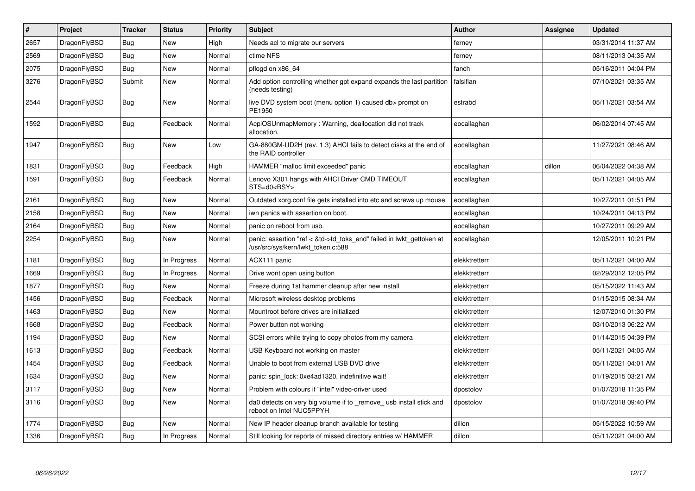| $\vert$ # | Project      | <b>Tracker</b> | <b>Status</b> | <b>Priority</b> | <b>Subject</b>                                                                                             | <b>Author</b> | Assignee | <b>Updated</b>      |
|-----------|--------------|----------------|---------------|-----------------|------------------------------------------------------------------------------------------------------------|---------------|----------|---------------------|
| 2657      | DragonFlyBSD | <b>Bug</b>     | <b>New</b>    | High            | Needs acl to migrate our servers                                                                           | ferney        |          | 03/31/2014 11:37 AM |
| 2569      | DragonFlyBSD | <b>Bug</b>     | <b>New</b>    | Normal          | ctime NFS                                                                                                  | ferney        |          | 08/11/2013 04:35 AM |
| 2075      | DragonFlyBSD | <b>Bug</b>     | <b>New</b>    | Normal          | pflogd on x86 64                                                                                           | fanch         |          | 05/16/2011 04:04 PM |
| 3276      | DragonFlyBSD | Submit         | New           | Normal          | Add option controlling whether gpt expand expands the last partition<br>(needs testing)                    | falsifian     |          | 07/10/2021 03:35 AM |
| 2544      | DragonFlyBSD | <b>Bug</b>     | <b>New</b>    | Normal          | live DVD system boot (menu option 1) caused db> prompt on<br>PE1950                                        | estrabd       |          | 05/11/2021 03:54 AM |
| 1592      | DragonFlyBSD | <b>Bug</b>     | Feedback      | Normal          | AcpiOSUnmapMemory: Warning, deallocation did not track<br>allocation.                                      | eocallaghan   |          | 06/02/2014 07:45 AM |
| 1947      | DragonFlyBSD | Bug            | New           | Low             | GA-880GM-UD2H (rev. 1.3) AHCI fails to detect disks at the end of<br>the RAID controller                   | eocallaghan   |          | 11/27/2021 08:46 AM |
| 1831      | DragonFlyBSD | <b>Bug</b>     | Feedback      | High            | HAMMER "malloc limit exceeded" panic                                                                       | eocallaghan   | dillon   | 06/04/2022 04:38 AM |
| 1591      | DragonFlyBSD | <b>Bug</b>     | Feedback      | Normal          | Lenovo X301 hangs with AHCI Driver CMD TIMEOUT<br>STS=d0 <bsy></bsy>                                       | eocallaghan   |          | 05/11/2021 04:05 AM |
| 2161      | DragonFlyBSD | Bug            | New           | Normal          | Outdated xorg.conf file gets installed into etc and screws up mouse                                        | eocallaghan   |          | 10/27/2011 01:51 PM |
| 2158      | DragonFlyBSD | Bug            | New           | Normal          | iwn panics with assertion on boot.                                                                         | eocallaghan   |          | 10/24/2011 04:13 PM |
| 2164      | DragonFlyBSD | Bug            | <b>New</b>    | Normal          | panic on reboot from usb.                                                                                  | eocallaghan   |          | 10/27/2011 09:29 AM |
| 2254      | DragonFlyBSD | <b>Bug</b>     | <b>New</b>    | Normal          | panic: assertion "ref < &td->td toks end" failed in lwkt gettoken at<br>/usr/src/sys/kern/lwkt_token.c:588 | eocallaghan   |          | 12/05/2011 10:21 PM |
| 1181      | DragonFlyBSD | Bug            | In Progress   | Normal          | ACX111 panic                                                                                               | elekktretterr |          | 05/11/2021 04:00 AM |
| 1669      | DragonFlyBSD | <b>Bug</b>     | In Progress   | Normal          | Drive wont open using button                                                                               | elekktretterr |          | 02/29/2012 12:05 PM |
| 1877      | DragonFlyBSD | Bug            | New           | Normal          | Freeze during 1st hammer cleanup after new install                                                         | elekktretterr |          | 05/15/2022 11:43 AM |
| 1456      | DragonFlyBSD | Bug            | Feedback      | Normal          | Microsoft wireless desktop problems                                                                        | elekktretterr |          | 01/15/2015 08:34 AM |
| 1463      | DragonFlyBSD | Bug            | New           | Normal          | Mountroot before drives are initialized                                                                    | elekktretterr |          | 12/07/2010 01:30 PM |
| 1668      | DragonFlyBSD | Bug            | Feedback      | Normal          | Power button not working                                                                                   | elekktretterr |          | 03/10/2013 06:22 AM |
| 1194      | DragonFlyBSD | <b>Bug</b>     | <b>New</b>    | Normal          | SCSI errors while trying to copy photos from my camera                                                     | elekktretterr |          | 01/14/2015 04:39 PM |
| 1613      | DragonFlyBSD | <b>Bug</b>     | Feedback      | Normal          | USB Keyboard not working on master                                                                         | elekktretterr |          | 05/11/2021 04:05 AM |
| 1454      | DragonFlyBSD | <b>Bug</b>     | Feedback      | Normal          | Unable to boot from external USB DVD drive                                                                 | elekktretterr |          | 05/11/2021 04:01 AM |
| 1634      | DragonFlyBSD | Bug            | <b>New</b>    | Normal          | panic: spin lock: 0xe4ad1320, indefinitive wait!                                                           | elekktretterr |          | 01/19/2015 03:21 AM |
| 3117      | DragonFlyBSD | Bug            | <b>New</b>    | Normal          | Problem with colours if "intel" video-driver used                                                          | dpostolov     |          | 01/07/2018 11:35 PM |
| 3116      | DragonFlyBSD | Bug            | <b>New</b>    | Normal          | da0 detects on very big volume if to remove usb install stick and<br>reboot on Intel NUC5PPYH              | dpostolov     |          | 01/07/2018 09:40 PM |
| 1774      | DragonFlyBSD | Bug            | <b>New</b>    | Normal          | New IP header cleanup branch available for testing                                                         | dillon        |          | 05/15/2022 10:59 AM |
| 1336      | DragonFlyBSD | Bug            | In Progress   | Normal          | Still looking for reports of missed directory entries w/ HAMMER                                            | dillon        |          | 05/11/2021 04:00 AM |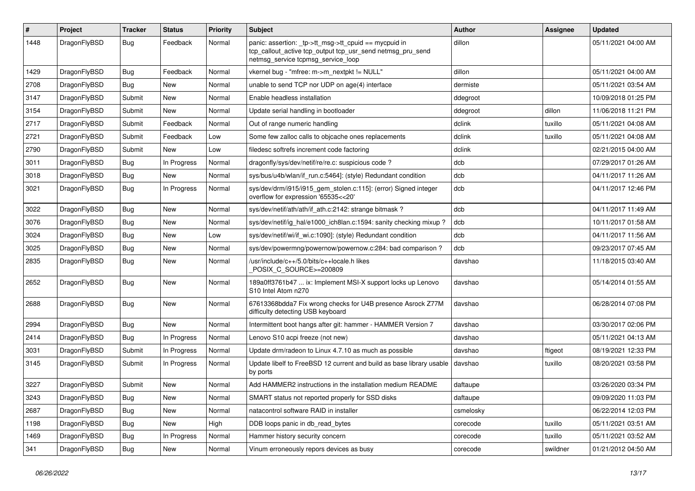| #    | Project      | <b>Tracker</b> | <b>Status</b> | <b>Priority</b> | <b>Subject</b>                                                                                                                                            | <b>Author</b> | Assignee | <b>Updated</b>      |
|------|--------------|----------------|---------------|-----------------|-----------------------------------------------------------------------------------------------------------------------------------------------------------|---------------|----------|---------------------|
| 1448 | DragonFlyBSD | Bug            | Feedback      | Normal          | panic: assertion: _tp->tt_msg->tt_cpuid == mycpuid in<br>tcp_callout_active tcp_output tcp_usr_send netmsg_pru_send<br>netmsg_service tcpmsg_service_loop | dillon        |          | 05/11/2021 04:00 AM |
| 1429 | DragonFlyBSD | <b>Bug</b>     | Feedback      | Normal          | vkernel bug - "mfree: m->m_nextpkt != NULL"                                                                                                               | dillon        |          | 05/11/2021 04:00 AM |
| 2708 | DragonFlyBSD | Bug            | <b>New</b>    | Normal          | unable to send TCP nor UDP on age(4) interface                                                                                                            | dermiste      |          | 05/11/2021 03:54 AM |
| 3147 | DragonFlyBSD | Submit         | <b>New</b>    | Normal          | Enable headless installation                                                                                                                              | ddegroot      |          | 10/09/2018 01:25 PM |
| 3154 | DragonFlyBSD | Submit         | <b>New</b>    | Normal          | Update serial handling in bootloader                                                                                                                      | ddegroot      | dillon   | 11/06/2018 11:21 PM |
| 2717 | DragonFlyBSD | Submit         | Feedback      | Normal          | Out of range numeric handling                                                                                                                             | dclink        | tuxillo  | 05/11/2021 04:08 AM |
| 2721 | DragonFlyBSD | Submit         | Feedback      | Low             | Some few zalloc calls to objcache ones replacements                                                                                                       | dclink        | tuxillo  | 05/11/2021 04:08 AM |
| 2790 | DragonFlyBSD | Submit         | New           | Low             | filedesc softrefs increment code factoring                                                                                                                | dclink        |          | 02/21/2015 04:00 AM |
| 3011 | DragonFlyBSD | Bug            | In Progress   | Normal          | dragonfly/sys/dev/netif/re/re.c: suspicious code?                                                                                                         | dcb           |          | 07/29/2017 01:26 AM |
| 3018 | DragonFlyBSD | <b>Bug</b>     | <b>New</b>    | Normal          | sys/bus/u4b/wlan/if_run.c:5464]: (style) Redundant condition                                                                                              | dcb           |          | 04/11/2017 11:26 AM |
| 3021 | DragonFlyBSD | Bug            | In Progress   | Normal          | sys/dev/drm/i915/i915_gem_stolen.c:115]: (error) Signed integer<br>overflow for expression '65535<<20'                                                    | dcb           |          | 04/11/2017 12:46 PM |
| 3022 | DragonFlyBSD | Bug            | <b>New</b>    | Normal          | sys/dev/netif/ath/ath/if ath.c:2142: strange bitmask?                                                                                                     | dcb           |          | 04/11/2017 11:49 AM |
| 3076 | DragonFlyBSD | <b>Bug</b>     | New           | Normal          | sys/dev/netif/ig_hal/e1000_ich8lan.c:1594: sanity checking mixup ?                                                                                        | dcb           |          | 10/11/2017 01:58 AM |
| 3024 | DragonFlyBSD | <b>Bug</b>     | <b>New</b>    | Low             | sys/dev/netif/wi/if_wi.c:1090]: (style) Redundant condition                                                                                               | dcb           |          | 04/11/2017 11:56 AM |
| 3025 | DragonFlyBSD | Bug            | <b>New</b>    | Normal          | sys/dev/powermng/powernow/powernow.c:284: bad comparison?                                                                                                 | dcb           |          | 09/23/2017 07:45 AM |
| 2835 | DragonFlyBSD | <b>Bug</b>     | <b>New</b>    | Normal          | /usr/include/c++/5.0/bits/c++locale.h likes<br>POSIX C_SOURCE>=200809                                                                                     | davshao       |          | 11/18/2015 03:40 AM |
| 2652 | DragonFlyBSD | <b>Bug</b>     | <b>New</b>    | Normal          | 189a0ff3761b47  ix: Implement MSI-X support locks up Lenovo<br>S10 Intel Atom n270                                                                        | davshao       |          | 05/14/2014 01:55 AM |
| 2688 | DragonFlyBSD | Bug            | <b>New</b>    | Normal          | 67613368bdda7 Fix wrong checks for U4B presence Asrock Z77M<br>difficulty detecting USB keyboard                                                          | davshao       |          | 06/28/2014 07:08 PM |
| 2994 | DragonFlyBSD | Bug            | <b>New</b>    | Normal          | Intermittent boot hangs after git: hammer - HAMMER Version 7                                                                                              | davshao       |          | 03/30/2017 02:06 PM |
| 2414 | DragonFlyBSD | Bug            | In Progress   | Normal          | Lenovo S10 acpi freeze (not new)                                                                                                                          | davshao       |          | 05/11/2021 04:13 AM |
| 3031 | DragonFlyBSD | Submit         | In Progress   | Normal          | Update drm/radeon to Linux 4.7.10 as much as possible                                                                                                     | davshao       | ftigeot  | 08/19/2021 12:33 PM |
| 3145 | DragonFlyBSD | Submit         | In Progress   | Normal          | Update libelf to FreeBSD 12 current and build as base library usable<br>by ports                                                                          | davshao       | tuxillo  | 08/20/2021 03:58 PM |
| 3227 | DragonFlyBSD | Submit         | New           | Normal          | Add HAMMER2 instructions in the installation medium README                                                                                                | daftaupe      |          | 03/26/2020 03:34 PM |
| 3243 | DragonFlyBSD | <b>Bug</b>     | New           | Normal          | SMART status not reported properly for SSD disks                                                                                                          | daftaupe      |          | 09/09/2020 11:03 PM |
| 2687 | DragonFlyBSD | <b>Bug</b>     | New           | Normal          | natacontrol software RAID in installer                                                                                                                    | csmelosky     |          | 06/22/2014 12:03 PM |
| 1198 | DragonFlyBSD | Bug            | New           | High            | DDB loops panic in db_read_bytes                                                                                                                          | corecode      | tuxillo  | 05/11/2021 03:51 AM |
| 1469 | DragonFlyBSD | <b>Bug</b>     | In Progress   | Normal          | Hammer history security concern                                                                                                                           | corecode      | tuxillo  | 05/11/2021 03:52 AM |
| 341  | DragonFlyBSD | <b>Bug</b>     | New           | Normal          | Vinum erroneously repors devices as busy                                                                                                                  | corecode      | swildner | 01/21/2012 04:50 AM |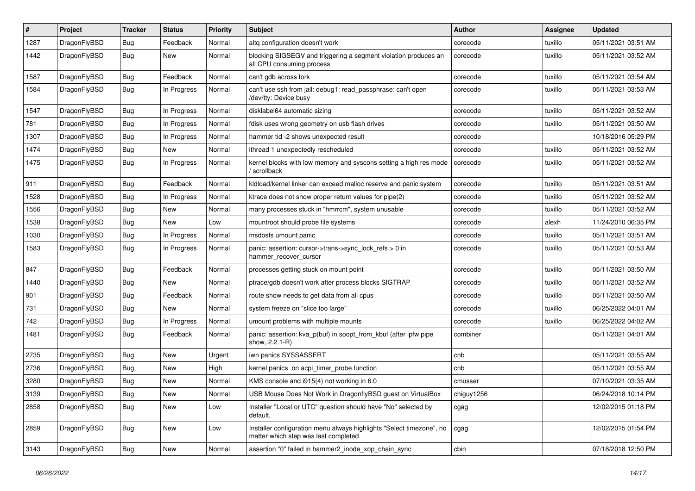| #    | Project      | <b>Tracker</b> | <b>Status</b> | <b>Priority</b> | Subject                                                                                                       | <b>Author</b> | <b>Assignee</b> | <b>Updated</b>      |
|------|--------------|----------------|---------------|-----------------|---------------------------------------------------------------------------------------------------------------|---------------|-----------------|---------------------|
| 1287 | DragonFlyBSD | <b>Bug</b>     | Feedback      | Normal          | altg configuration doesn't work                                                                               | corecode      | tuxillo         | 05/11/2021 03:51 AM |
| 1442 | DragonFlyBSD | <b>Bug</b>     | New           | Normal          | blocking SIGSEGV and triggering a segment violation produces an<br>all CPU consuming process                  | corecode      | tuxillo         | 05/11/2021 03:52 AM |
| 1587 | DragonFlyBSD | Bug            | Feedback      | Normal          | can't gdb across fork                                                                                         | corecode      | tuxillo         | 05/11/2021 03:54 AM |
| 1584 | DragonFlyBSD | Bug            | In Progress   | Normal          | can't use ssh from jail: debug1: read_passphrase: can't open<br>/dev/tty: Device busy                         | corecode      | tuxillo         | 05/11/2021 03:53 AM |
| 1547 | DragonFlyBSD | <b>Bug</b>     | In Progress   | Normal          | disklabel64 automatic sizing                                                                                  | corecode      | tuxillo         | 05/11/2021 03:52 AM |
| 781  | DragonFlyBSD | <b>Bug</b>     | In Progress   | Normal          | fdisk uses wrong geometry on usb flash drives                                                                 | corecode      | tuxillo         | 05/11/2021 03:50 AM |
| 1307 | DragonFlyBSD | <b>Bug</b>     | In Progress   | Normal          | hammer tid -2 shows unexpected result                                                                         | corecode      |                 | 10/18/2016 05:29 PM |
| 1474 | DragonFlyBSD | Bug            | New           | Normal          | ithread 1 unexpectedly rescheduled                                                                            | corecode      | tuxillo         | 05/11/2021 03:52 AM |
| 1475 | DragonFlyBSD | <b>Bug</b>     | In Progress   | Normal          | kernel blocks with low memory and syscons setting a high res mode<br>/ scrollback                             | corecode      | tuxillo         | 05/11/2021 03:52 AM |
| 911  | DragonFlyBSD | Bug            | Feedback      | Normal          | kidload/kernel linker can exceed malloc reserve and panic system                                              | corecode      | tuxillo         | 05/11/2021 03:51 AM |
| 1528 | DragonFlyBSD | <b>Bug</b>     | In Progress   | Normal          | ktrace does not show proper return values for pipe(2)                                                         | corecode      | tuxillo         | 05/11/2021 03:52 AM |
| 1556 | DragonFlyBSD | <b>Bug</b>     | New           | Normal          | many processes stuck in "hmrrcm", system unusable                                                             | corecode      | tuxillo         | 05/11/2021 03:52 AM |
| 1538 | DragonFlyBSD | Bug            | New           | Low             | mountroot should probe file systems                                                                           | corecode      | alexh           | 11/24/2010 06:35 PM |
| 1030 | DragonFlyBSD | Bug            | In Progress   | Normal          | msdosfs umount panic                                                                                          | corecode      | tuxillo         | 05/11/2021 03:51 AM |
| 1583 | DragonFlyBSD | Bug            | In Progress   | Normal          | panic: assertion: cursor->trans->sync_lock_refs > 0 in<br>hammer recover cursor                               | corecode      | tuxillo         | 05/11/2021 03:53 AM |
| 847  | DragonFlyBSD | Bug            | Feedback      | Normal          | processes getting stuck on mount point                                                                        | corecode      | tuxillo         | 05/11/2021 03:50 AM |
| 1440 | DragonFlyBSD | Bug            | New           | Normal          | ptrace/gdb doesn't work after process blocks SIGTRAP                                                          | corecode      | tuxillo         | 05/11/2021 03:52 AM |
| 901  | DragonFlyBSD | Bug            | Feedback      | Normal          | route show needs to get data from all cpus                                                                    | corecode      | tuxillo         | 05/11/2021 03:50 AM |
| 731  | DragonFlyBSD | Bug            | New           | Normal          | system freeze on "slice too large"                                                                            | corecode      | tuxillo         | 06/25/2022 04:01 AM |
| 742  | DragonFlyBSD | Bug            | In Progress   | Normal          | umount problems with multiple mounts                                                                          | corecode      | tuxillo         | 06/25/2022 04:02 AM |
| 1481 | DragonFlyBSD | Bug            | Feedback      | Normal          | panic: assertion: kva_p(buf) in soopt_from_kbuf (after ipfw pipe<br>show, 2.2.1-R)                            | combiner      |                 | 05/11/2021 04:01 AM |
| 2735 | DragonFlyBSD | Bug            | New           | Urgent          | iwn panics SYSSASSERT                                                                                         | cnb           |                 | 05/11/2021 03:55 AM |
| 2736 | DragonFlyBSD | Bug            | New           | High            | kernel panics on acpi_timer_probe function                                                                    | cnb           |                 | 05/11/2021 03:55 AM |
| 3280 | DragonFlyBSD | Bug            | New           | Normal          | KMS console and i915(4) not working in 6.0                                                                    | cmusser       |                 | 07/10/2021 03:35 AM |
| 3139 | DragonFlyBSD | <b>Bug</b>     | New           | Normal          | USB Mouse Does Not Work in DragonflyBSD guest on VirtualBox                                                   | chiguy1256    |                 | 06/24/2018 10:14 PM |
| 2858 | DragonFlyBSD | Bug            | New           | Low             | Installer "Local or UTC" question should have "No" selected by<br>default.                                    | cgag          |                 | 12/02/2015 01:18 PM |
| 2859 | DragonFlyBSD | <b>Bug</b>     | New           | Low             | Installer configuration menu always highlights "Select timezone", no<br>matter which step was last completed. | cgag          |                 | 12/02/2015 01:54 PM |
| 3143 | DragonFlyBSD | <b>Bug</b>     | New           | Normal          | assertion "0" failed in hammer2 inode xop chain sync                                                          | cbin          |                 | 07/18/2018 12:50 PM |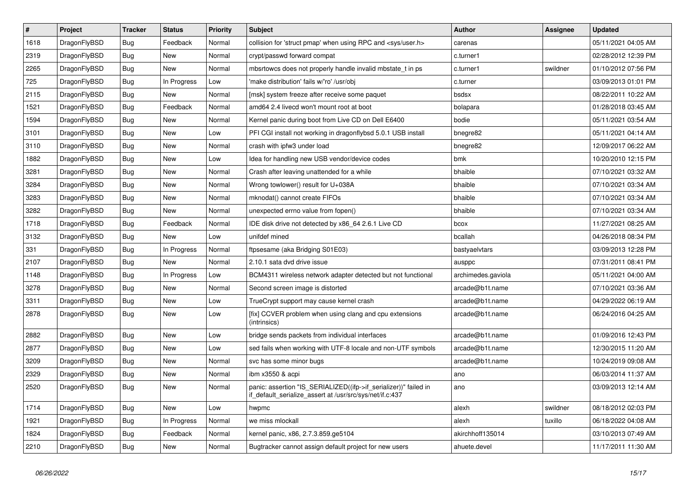| $\vert$ # | <b>Project</b> | <b>Tracker</b> | <b>Status</b> | Priority | <b>Subject</b>                                                                                                               | Author             | Assignee | <b>Updated</b>      |
|-----------|----------------|----------------|---------------|----------|------------------------------------------------------------------------------------------------------------------------------|--------------------|----------|---------------------|
| 1618      | DragonFlyBSD   | Bug            | Feedback      | Normal   | collision for 'struct pmap' when using RPC and <sys user.h=""></sys>                                                         | carenas            |          | 05/11/2021 04:05 AM |
| 2319      | DragonFlyBSD   | Bug            | New           | Normal   | crypt/passwd forward compat                                                                                                  | c.turner1          |          | 02/28/2012 12:39 PM |
| 2265      | DragonFlyBSD   | Bug            | New           | Normal   | mbsrtowcs does not properly handle invalid mbstate t in ps.                                                                  | c.turner1          | swildner | 01/10/2012 07:56 PM |
| 725       | DragonFlyBSD   | <b>Bug</b>     | In Progress   | Low      | 'make distribution' fails w/'ro' /usr/obj                                                                                    | c.turner           |          | 03/09/2013 01:01 PM |
| 2115      | DragonFlyBSD   | <b>Bug</b>     | New           | Normal   | [msk] system freeze after receive some paquet                                                                                | bsdsx              |          | 08/22/2011 10:22 AM |
| 1521      | DragonFlyBSD   | <b>Bug</b>     | Feedback      | Normal   | amd64 2.4 livecd won't mount root at boot                                                                                    | bolapara           |          | 01/28/2018 03:45 AM |
| 1594      | DragonFlyBSD   | <b>Bug</b>     | New           | Normal   | Kernel panic during boot from Live CD on Dell E6400                                                                          | bodie              |          | 05/11/2021 03:54 AM |
| 3101      | DragonFlyBSD   | Bug            | New           | Low      | PFI CGI install not working in dragonflybsd 5.0.1 USB install                                                                | bnegre82           |          | 05/11/2021 04:14 AM |
| 3110      | DragonFlyBSD   | <b>Bug</b>     | <b>New</b>    | Normal   | crash with ipfw3 under load                                                                                                  | bnegre82           |          | 12/09/2017 06:22 AM |
| 1882      | DragonFlyBSD   | Bug            | New           | Low      | Idea for handling new USB vendor/device codes                                                                                | bmk                |          | 10/20/2010 12:15 PM |
| 3281      | DragonFlyBSD   | Bug            | New           | Normal   | Crash after leaving unattended for a while                                                                                   | bhaible            |          | 07/10/2021 03:32 AM |
| 3284      | DragonFlyBSD   | Bug            | New           | Normal   | Wrong towlower() result for U+038A                                                                                           | bhaible            |          | 07/10/2021 03:34 AM |
| 3283      | DragonFlyBSD   | <b>Bug</b>     | New           | Normal   | mknodat() cannot create FIFOs                                                                                                | bhaible            |          | 07/10/2021 03:34 AM |
| 3282      | DragonFlyBSD   | <b>Bug</b>     | New           | Normal   | unexpected errno value from fopen()                                                                                          | bhaible            |          | 07/10/2021 03:34 AM |
| 1718      | DragonFlyBSD   | Bug            | Feedback      | Normal   | IDE disk drive not detected by x86 64 2.6.1 Live CD                                                                          | bcox               |          | 11/27/2021 08:25 AM |
| 3132      | DragonFlyBSD   | <b>Bug</b>     | <b>New</b>    | Low      | unifdef mined                                                                                                                | bcallah            |          | 04/26/2018 08:34 PM |
| 331       | DragonFlyBSD   | <b>Bug</b>     | In Progress   | Normal   | ftpsesame (aka Bridging S01E03)                                                                                              | bastyaelvtars      |          | 03/09/2013 12:28 PM |
| 2107      | DragonFlyBSD   | <b>Bug</b>     | <b>New</b>    | Normal   | 2.10.1 sata dvd drive issue                                                                                                  | ausppc             |          | 07/31/2011 08:41 PM |
| 1148      | DragonFlyBSD   | <b>Bug</b>     | In Progress   | Low      | BCM4311 wireless network adapter detected but not functional                                                                 | archimedes.gaviola |          | 05/11/2021 04:00 AM |
| 3278      | DragonFlyBSD   | Bug            | New           | Normal   | Second screen image is distorted                                                                                             | arcade@b1t.name    |          | 07/10/2021 03:36 AM |
| 3311      | DragonFlyBSD   | <b>Bug</b>     | New           | Low      | TrueCrypt support may cause kernel crash                                                                                     | arcade@b1t.name    |          | 04/29/2022 06:19 AM |
| 2878      | DragonFlyBSD   | Bug            | <b>New</b>    | Low      | [fix] CCVER problem when using clang and cpu extensions<br>(intrinsics)                                                      | arcade@b1t.name    |          | 06/24/2016 04:25 AM |
| 2882      | DragonFlyBSD   | <b>Bug</b>     | <b>New</b>    | Low      | bridge sends packets from individual interfaces                                                                              | arcade@b1t.name    |          | 01/09/2016 12:43 PM |
| 2877      | DragonFlyBSD   | <b>Bug</b>     | <b>New</b>    | Low      | sed fails when working with UTF-8 locale and non-UTF symbols                                                                 | arcade@b1t.name    |          | 12/30/2015 11:20 AM |
| 3209      | DragonFlyBSD   | <b>Bug</b>     | <b>New</b>    | Normal   | svc has some minor bugs                                                                                                      | arcade@b1t.name    |          | 10/24/2019 09:08 AM |
| 2329      | DragonFlyBSD   | <b>Bug</b>     | New           | Normal   | ibm x3550 & acpi                                                                                                             | ano                |          | 06/03/2014 11:37 AM |
| 2520      | DragonFlyBSD   | Bug            | <b>New</b>    | Normal   | panic: assertion "IS SERIALIZED((ifp->if serializer))" failed in<br>if default serialize assert at /usr/src/sys/net/if.c:437 | ano                |          | 03/09/2013 12:14 AM |
| 1714      | DragonFlyBSD   | Bug            | New           | Low      | hwpmc                                                                                                                        | alexh              | swildner | 08/18/2012 02:03 PM |
| 1921      | DragonFlyBSD   | Bug            | In Progress   | Normal   | we miss mlockall                                                                                                             | alexh              | tuxillo  | 06/18/2022 04:08 AM |
| 1824      | DragonFlyBSD   | <b>Bug</b>     | Feedback      | Normal   | kernel panic, x86, 2.7.3.859.ge5104                                                                                          | akirchhoff135014   |          | 03/10/2013 07:49 AM |
| 2210      | DragonFlyBSD   | <b>Bug</b>     | New           | Normal   | Bugtracker cannot assign default project for new users                                                                       | ahuete.devel       |          | 11/17/2011 11:30 AM |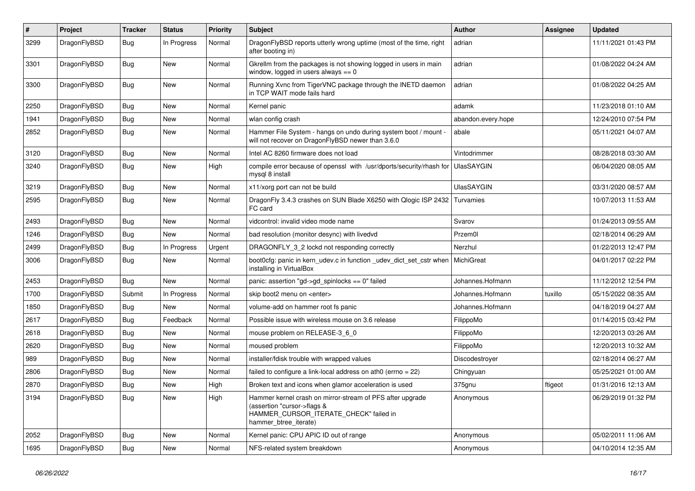| $\vert$ # | Project      | <b>Tracker</b> | <b>Status</b> | <b>Priority</b> | <b>Subject</b>                                                                                                                                              | <b>Author</b>      | Assignee | <b>Updated</b>      |
|-----------|--------------|----------------|---------------|-----------------|-------------------------------------------------------------------------------------------------------------------------------------------------------------|--------------------|----------|---------------------|
| 3299      | DragonFlyBSD | Bug            | In Progress   | Normal          | DragonFlyBSD reports utterly wrong uptime (most of the time, right<br>after booting in)                                                                     | adrian             |          | 11/11/2021 01:43 PM |
| 3301      | DragonFlyBSD | <b>Bug</b>     | <b>New</b>    | Normal          | Gkrellm from the packages is not showing logged in users in main<br>window, logged in users always $== 0$                                                   | adrian             |          | 01/08/2022 04:24 AM |
| 3300      | DragonFlyBSD | <b>Bug</b>     | <b>New</b>    | Normal          | Running Xvnc from TigerVNC package through the INETD daemon<br>in TCP WAIT mode fails hard                                                                  | adrian             |          | 01/08/2022 04:25 AM |
| 2250      | DragonFlyBSD | Bug            | <b>New</b>    | Normal          | Kernel panic                                                                                                                                                | adamk              |          | 11/23/2018 01:10 AM |
| 1941      | DragonFlyBSD | Bug            | <b>New</b>    | Normal          | wlan config crash                                                                                                                                           | abandon.every.hope |          | 12/24/2010 07:54 PM |
| 2852      | DragonFlyBSD | <b>Bug</b>     | New           | Normal          | Hammer File System - hangs on undo during system boot / mount -<br>will not recover on DragonFlyBSD newer than 3.6.0                                        | abale              |          | 05/11/2021 04:07 AM |
| 3120      | DragonFlyBSD | <b>Bug</b>     | <b>New</b>    | Normal          | Intel AC 8260 firmware does not load                                                                                                                        | Vintodrimmer       |          | 08/28/2018 03:30 AM |
| 3240      | DragonFlyBSD | <b>Bug</b>     | <b>New</b>    | High            | compile error because of openssl with /usr/dports/security/rhash for<br>mysgl 8 install                                                                     | <b>UlasSAYGIN</b>  |          | 06/04/2020 08:05 AM |
| 3219      | DragonFlyBSD | Bug            | <b>New</b>    | Normal          | x11/xorg port can not be build                                                                                                                              | <b>UlasSAYGIN</b>  |          | 03/31/2020 08:57 AM |
| 2595      | DragonFlyBSD | <b>Bug</b>     | <b>New</b>    | Normal          | DragonFly 3.4.3 crashes on SUN Blade X6250 with Qlogic ISP 2432<br>FC card                                                                                  | Turvamies          |          | 10/07/2013 11:53 AM |
| 2493      | DragonFlyBSD | Bug            | New           | Normal          | vidcontrol: invalid video mode name                                                                                                                         | Svarov             |          | 01/24/2013 09:55 AM |
| 1246      | DragonFlyBSD | <b>Bug</b>     | <b>New</b>    | Normal          | bad resolution (monitor desync) with livedvd                                                                                                                | Przem0l            |          | 02/18/2014 06:29 AM |
| 2499      | DragonFlyBSD | <b>Bug</b>     | In Progress   | Urgent          | DRAGONFLY_3_2 lockd not responding correctly                                                                                                                | Nerzhul            |          | 01/22/2013 12:47 PM |
| 3006      | DragonFlyBSD | Bug            | New           | Normal          | boot0cfg: panic in kern udev.c in function udev dict set cstr when<br>installing in VirtualBox                                                              | <b>MichiGreat</b>  |          | 04/01/2017 02:22 PM |
| 2453      | DragonFlyBSD | Bug            | <b>New</b>    | Normal          | panic: assertion "gd->gd_spinlocks == 0" failed                                                                                                             | Johannes.Hofmann   |          | 11/12/2012 12:54 PM |
| 1700      | DragonFlyBSD | Submit         | In Progress   | Normal          | skip boot2 menu on <enter></enter>                                                                                                                          | Johannes.Hofmann   | tuxillo  | 05/15/2022 08:35 AM |
| 1850      | DragonFlyBSD | <b>Bug</b>     | <b>New</b>    | Normal          | volume-add on hammer root fs panic                                                                                                                          | Johannes.Hofmann   |          | 04/18/2019 04:27 AM |
| 2617      | DragonFlyBSD | <b>Bug</b>     | Feedback      | Normal          | Possible issue with wireless mouse on 3.6 release                                                                                                           | FilippoMo          |          | 01/14/2015 03:42 PM |
| 2618      | DragonFlyBSD | <b>Bug</b>     | <b>New</b>    | Normal          | mouse problem on RELEASE-3 6 0                                                                                                                              | FilippoMo          |          | 12/20/2013 03:26 AM |
| 2620      | DragonFlyBSD | <b>Bug</b>     | <b>New</b>    | Normal          | moused problem                                                                                                                                              | FilippoMo          |          | 12/20/2013 10:32 AM |
| 989       | DragonFlyBSD | <b>Bug</b>     | <b>New</b>    | Normal          | installer/fdisk trouble with wrapped values                                                                                                                 | Discodestrover     |          | 02/18/2014 06:27 AM |
| 2806      | DragonFlyBSD | <b>Bug</b>     | <b>New</b>    | Normal          | failed to configure a link-local address on ath0 (errno = 22)                                                                                               | Chingyuan          |          | 05/25/2021 01:00 AM |
| 2870      | DragonFlyBSD | Bug            | <b>New</b>    | High            | Broken text and icons when glamor acceleration is used                                                                                                      | 375gnu             | ftigeot  | 01/31/2016 12:13 AM |
| 3194      | DragonFlyBSD | Bug            | <b>New</b>    | High            | Hammer kernel crash on mirror-stream of PFS after upgrade<br>(assertion "cursor->flags &<br>HAMMER_CURSOR_ITERATE_CHECK" failed in<br>hammer_btree_iterate) | Anonymous          |          | 06/29/2019 01:32 PM |
| 2052      | DragonFlyBSD | Bug            | <b>New</b>    | Normal          | Kernel panic: CPU APIC ID out of range                                                                                                                      | Anonymous          |          | 05/02/2011 11:06 AM |
| 1695      | DragonFlyBSD | Bug            | <b>New</b>    | Normal          | NFS-related system breakdown                                                                                                                                | Anonymous          |          | 04/10/2014 12:35 AM |